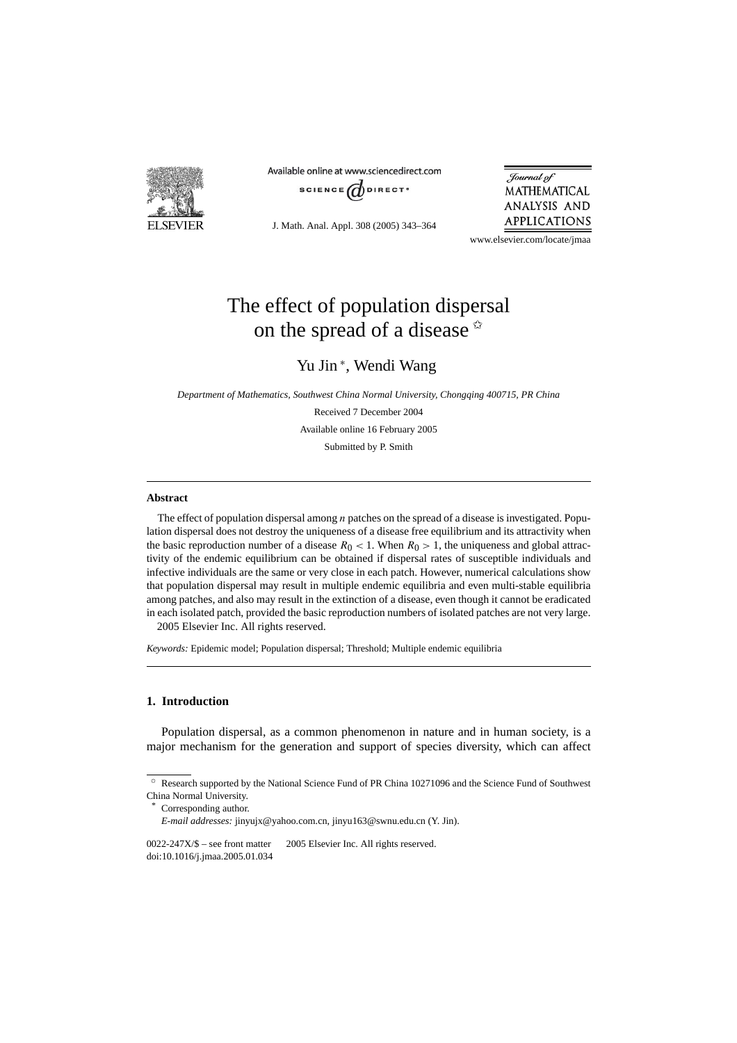

Available online at www.sciencedirect.com



J. Math. Anal. Appl. 308 (2005) 343–364

Journal of MATHEMATICAL ANALYSIS AND **APPLICATIONS** 

www.elsevier.com/locate/jmaa

# The effect of population dispersal on the spread of a disease  $\dot{x}$

# Yu Jin <sup>∗</sup> , Wendi Wang

*Department of Mathematics, Southwest China Normal University, Chongqing 400715, PR China*

Received 7 December 2004 Available online 16 February 2005 Submitted by P. Smith

## **Abstract**

The effect of population dispersal among *n* patches on the spread of a disease is investigated. Population dispersal does not destroy the uniqueness of a disease free equilibrium and its attractivity when the basic reproduction number of a disease  $R_0 < 1$ . When  $R_0 > 1$ , the uniqueness and global attractivity of the endemic equilibrium can be obtained if dispersal rates of susceptible individuals and infective individuals are the same or very close in each patch. However, numerical calculations show that population dispersal may result in multiple endemic equilibria and even multi-stable equilibria among patches, and also may result in the extinction of a disease, even though it cannot be eradicated in each isolated patch, provided the basic reproduction numbers of isolated patches are not very large. 2005 Elsevier Inc. All rights reserved.

*Keywords:* Epidemic model; Population dispersal; Threshold; Multiple endemic equilibria

# **1. Introduction**

Population dispersal, as a common phenomenon in nature and in human society, is a major mechanism for the generation and support of species diversity, which can affect

 $0022-247X/\$$  – see front matter  $\degree$  2005 Elsevier Inc. All rights reserved. doi:10.1016/j.jmaa.2005.01.034

 $\hat{\tau}$  Research supported by the National Science Fund of PR China 10271096 and the Science Fund of Southwest China Normal University.

Corresponding author.

*E-mail addresses:* jinyujx@yahoo.com.cn, jinyu163@swnu.edu.cn (Y. Jin).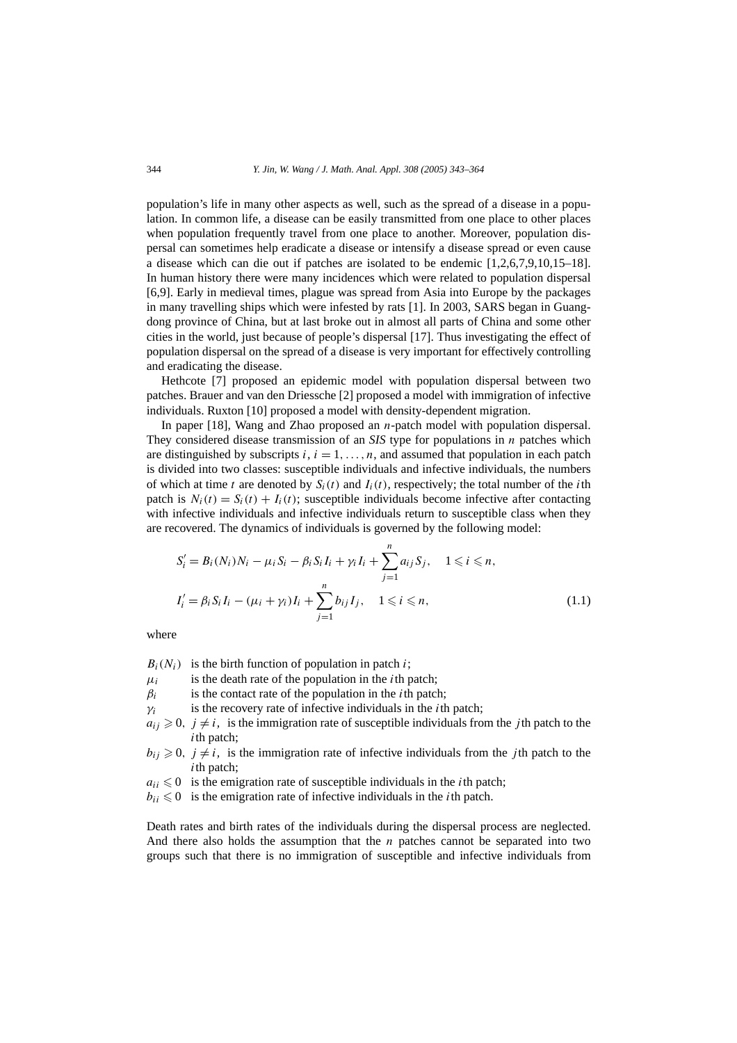population's life in many other aspects as well, such as the spread of a disease in a population. In common life, a disease can be easily transmitted from one place to other places when population frequently travel from one place to another. Moreover, population dispersal can sometimes help eradicate a disease or intensify a disease spread or even cause a disease which can die out if patches are isolated to be endemic [1,2,6,7,9,10,15–18]. In human history there were many incidences which were related to population dispersal [6,9]. Early in medieval times, plague was spread from Asia into Europe by the packages in many travelling ships which were infested by rats [1]. In 2003, SARS began in Guangdong province of China, but at last broke out in almost all parts of China and some other cities in the world, just because of people's dispersal [17]. Thus investigating the effect of population dispersal on the spread of a disease is very important for effectively controlling and eradicating the disease.

Hethcote [7] proposed an epidemic model with population dispersal between two patches. Brauer and van den Driessche [2] proposed a model with immigration of infective individuals. Ruxton [10] proposed a model with density-dependent migration.

In paper [18], Wang and Zhao proposed an *n*-patch model with population dispersal. They considered disease transmission of an *SIS* type for populations in *n* patches which are distinguished by subscripts  $i, i = 1, \ldots, n$ , and assumed that population in each patch is divided into two classes: susceptible individuals and infective individuals, the numbers of which at time *t* are denoted by  $S_i(t)$  and  $I_i(t)$ , respectively; the total number of the *i*th patch is  $N_i(t) = S_i(t) + I_i(t)$ ; susceptible individuals become infective after contacting with infective individuals and infective individuals return to susceptible class when they are recovered. The dynamics of individuals is governed by the following model:

$$
S'_{i} = B_{i}(N_{i})N_{i} - \mu_{i}S_{i} - \beta_{i}S_{i}I_{i} + \gamma_{i}I_{i} + \sum_{j=1}^{n} a_{ij}S_{j}, \quad 1 \leq i \leq n,
$$
  

$$
I'_{i} = \beta_{i}S_{i}I_{i} - (\mu_{i} + \gamma_{i})I_{i} + \sum_{j=1}^{n} b_{ij}I_{j}, \quad 1 \leq i \leq n,
$$
 (1.1)

where

 $B_i(N_i)$  is the birth function of population in patch *i*;

 $\mu_i$  is the death rate of the population in the *i*th patch;

 $\beta_i$  is the contact rate of the population in the *i*th patch;

*γi* is the recovery rate of infective individuals in the *i*th patch;

 $a_{ij} \geq 0$ ,  $j \neq i$ , is the immigration rate of susceptible individuals from the *j* th patch to the *i*th patch;

 $b_{ij} \geq 0$ ,  $j \neq i$ , is the immigration rate of infective individuals from the *j*th patch to the *i*th patch;

 $a_{ii} \leq 0$  is the emigration rate of susceptible individuals in the *i*th patch;

 $b_{ii} \leq 0$  is the emigration rate of infective individuals in the *i*th patch.

Death rates and birth rates of the individuals during the dispersal process are neglected. And there also holds the assumption that the *n* patches cannot be separated into two groups such that there is no immigration of susceptible and infective individuals from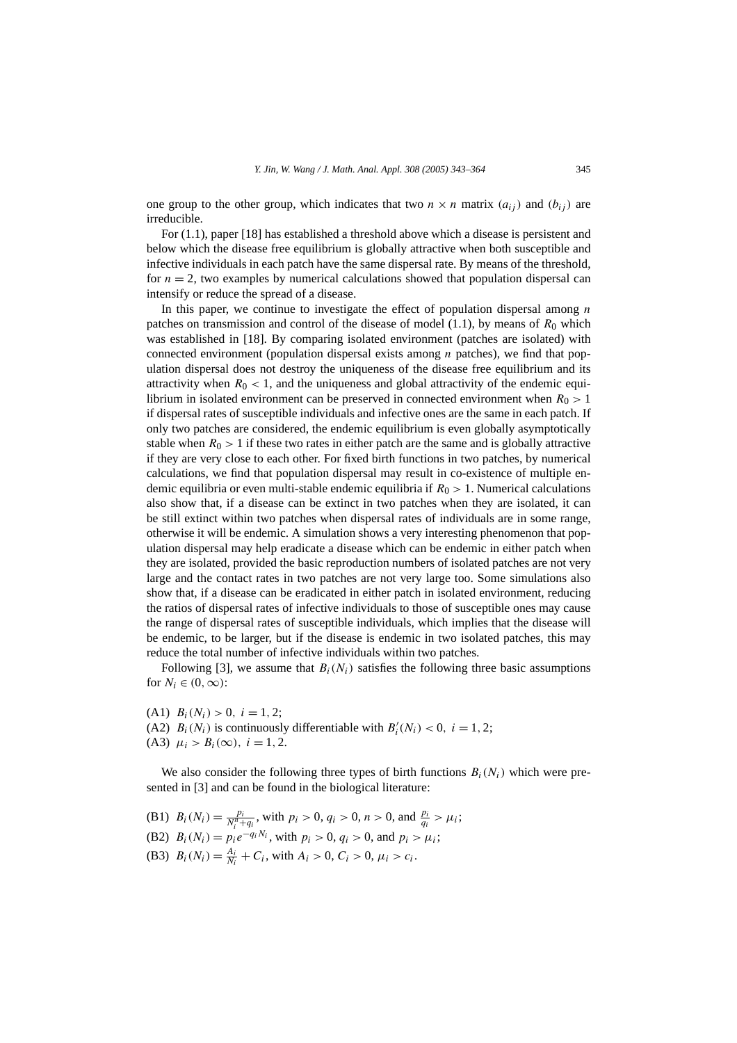one group to the other group, which indicates that two  $n \times n$  matrix  $(a_{ij})$  and  $(b_{ij})$  are irreducible.

For (1.1), paper [18] has established a threshold above which a disease is persistent and below which the disease free equilibrium is globally attractive when both susceptible and infective individuals in each patch have the same dispersal rate. By means of the threshold, for  $n = 2$ , two examples by numerical calculations showed that population dispersal can intensify or reduce the spread of a disease.

In this paper, we continue to investigate the effect of population dispersal among *n* patches on transmission and control of the disease of model  $(1.1)$ , by means of  $R_0$  which was established in [18]. By comparing isolated environment (patches are isolated) with connected environment (population dispersal exists among *n* patches), we find that population dispersal does not destroy the uniqueness of the disease free equilibrium and its attractivity when  $R_0$  < 1, and the uniqueness and global attractivity of the endemic equilibrium in isolated environment can be preserved in connected environment when  $R_0 > 1$ if dispersal rates of susceptible individuals and infective ones are the same in each patch. If only two patches are considered, the endemic equilibrium is even globally asymptotically stable when  $R_0 > 1$  if these two rates in either patch are the same and is globally attractive if they are very close to each other. For fixed birth functions in two patches, by numerical calculations, we find that population dispersal may result in co-existence of multiple endemic equilibria or even multi-stable endemic equilibria if *R*<sup>0</sup> *>* 1. Numerical calculations also show that, if a disease can be extinct in two patches when they are isolated, it can be still extinct within two patches when dispersal rates of individuals are in some range, otherwise it will be endemic. A simulation shows a very interesting phenomenon that population dispersal may help eradicate a disease which can be endemic in either patch when they are isolated, provided the basic reproduction numbers of isolated patches are not very large and the contact rates in two patches are not very large too. Some simulations also show that, if a disease can be eradicated in either patch in isolated environment, reducing the ratios of dispersal rates of infective individuals to those of susceptible ones may cause the range of dispersal rates of susceptible individuals, which implies that the disease will be endemic, to be larger, but if the disease is endemic in two isolated patches, this may reduce the total number of infective individuals within two patches.

Following [3], we assume that  $B_i(N_i)$  satisfies the following three basic assumptions for  $N_i \in (0, \infty)$ :

(A1)  $B_i(N_i) > 0$ ,  $i = 1, 2$ ; (A2)  $B_i(N_i)$  is continuously differentiable with  $B'_i(N_i) < 0$ ,  $i = 1, 2$ ; (A3)  $\mu_i > B_i(\infty)$ ,  $i = 1, 2$ .

We also consider the following three types of birth functions  $B_i(N_i)$  which were presented in [3] and can be found in the biological literature:

- (B1)  $B_i(N_i) = \frac{p_i}{N_i^n + q_i}$ , with  $p_i > 0$ ,  $q_i > 0$ ,  $n > 0$ , and  $\frac{p_i}{q_i} > \mu_i$ ;
- (B2)  $B_i(N_i) = p_i e^{-q_i N_i}$ , with  $p_i > 0$ ,  $q_i > 0$ , and  $p_i > \mu_i$ ;
- (B3)  $B_i(N_i) = \frac{A_i}{N_i} + C_i$ , with  $A_i > 0$ ,  $C_i > 0$ ,  $\mu_i > c_i$ .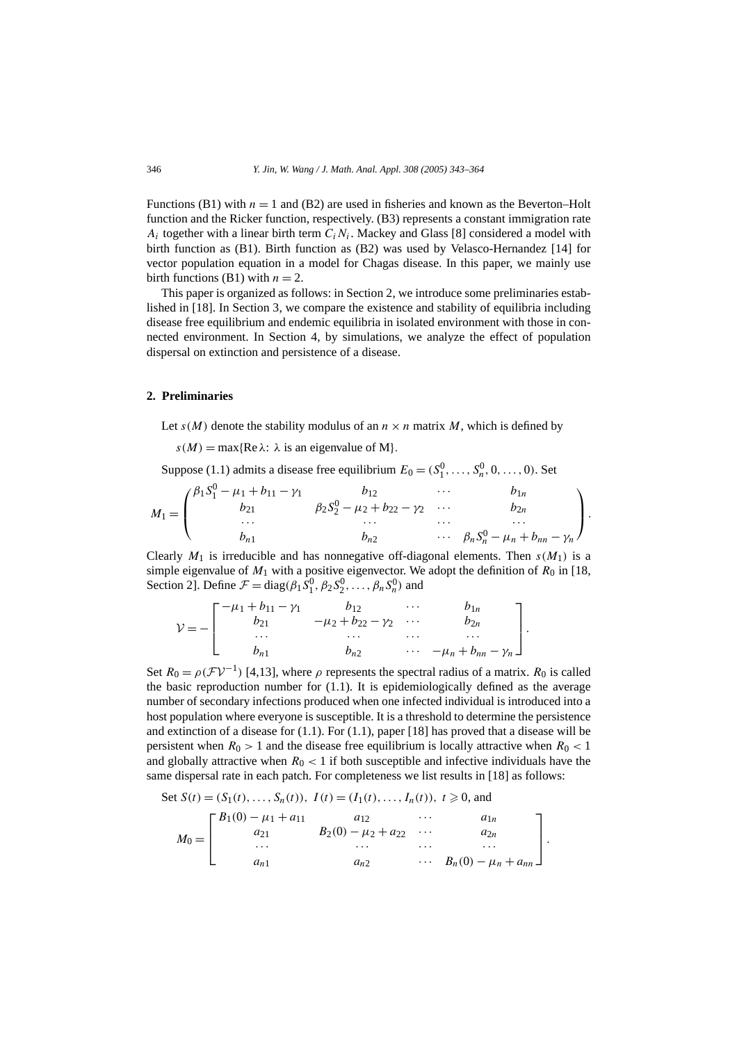Functions (B1) with  $n = 1$  and (B2) are used in fisheries and known as the Beverton–Holt function and the Ricker function, respectively. (B3) represents a constant immigration rate  $A_i$  together with a linear birth term  $C_iN_i$ . Mackey and Glass [8] considered a model with birth function as (B1). Birth function as (B2) was used by Velasco-Hernandez [14] for vector population equation in a model for Chagas disease. In this paper, we mainly use birth functions (B1) with  $n = 2$ .

This paper is organized as follows: in Section 2, we introduce some preliminaries established in [18]. In Section 3, we compare the existence and stability of equilibria including disease free equilibrium and endemic equilibria in isolated environment with those in connected environment. In Section 4, by simulations, we analyze the effect of population dispersal on extinction and persistence of a disease.

# **2. Preliminaries**

Let  $s(M)$  denote the stability modulus of an  $n \times n$  matrix M, which is defined by

 $s(M) = \max\{Re \lambda : \lambda \text{ is an eigenvalue of } M\}.$ 

Suppose (1.1) admits a disease free equilibrium  $E_0 = (S_1^0, \ldots, S_n^0, 0, \ldots, 0)$ . Set

$$
M_1 = \begin{pmatrix} \beta_1 S_1^0 - \mu_1 + b_{11} - \gamma_1 & b_{12} & \cdots & b_{1n} \\ b_{21} & \beta_2 S_2^0 - \mu_2 + b_{22} - \gamma_2 & \cdots & b_{2n} \\ \cdots & \cdots & \cdots & \cdots & \cdots \\ b_{n1} & b_{n2} & \cdots & \beta_n S_n^0 - \mu_n + b_{nn} - \gamma_n \end{pmatrix}.
$$

Clearly  $M_1$  is irreducible and has nonnegative off-diagonal elements. Then  $s(M_1)$  is a simple eigenvalue of  $M_1$  with a positive eigenvector. We adopt the definition of  $R_0$  in [18, Section 2]. Define  $\mathcal{F} = \text{diag}(\beta_1 S_1^0, \beta_2 S_2^0, \dots, \beta_n S_n^0)$  and

$$
\mathcal{V} = -\begin{bmatrix} -\mu_1 + b_{11} - \gamma_1 & b_{12} & \cdots & b_{1n} \\ b_{21} & -\mu_2 + b_{22} - \gamma_2 & \cdots & b_{2n} \\ \cdots & \cdots & \cdots & \cdots \\ b_{n1} & b_{n2} & \cdots & -\mu_n + b_{nn} - \gamma_n \end{bmatrix}.
$$

Set  $R_0 = \rho(\mathcal{F}V^{-1})$  [4,13], where  $\rho$  represents the spectral radius of a matrix.  $R_0$  is called the basic reproduction number for (1.1). It is epidemiologically defined as the average number of secondary infections produced when one infected individual is introduced into a host population where everyone is susceptible. It is a threshold to determine the persistence and extinction of a disease for  $(1.1)$ . For  $(1.1)$ , paper [18] has proved that a disease will be persistent when  $R_0 > 1$  and the disease free equilibrium is locally attractive when  $R_0 < 1$ and globally attractive when  $R_0 < 1$  if both susceptible and infective individuals have the same dispersal rate in each patch. For completeness we list results in [18] as follows:

Set 
$$
S(t) = (S_1(t), ..., S_n(t)), I(t) = (I_1(t), ..., I_n(t)), t \ge 0
$$
, and  
\n
$$
M_0 = \begin{bmatrix} B_1(0) - \mu_1 + a_{11} & a_{12} & \cdots & a_{1n} \\ a_{21} & B_2(0) - \mu_2 + a_{22} & \cdots & a_{2n} \\ \cdots & \cdots & \cdots & \cdots \\ a_{n1} & a_{n2} & \cdots & B_n(0) - \mu_n + a_{nn} \end{bmatrix}.
$$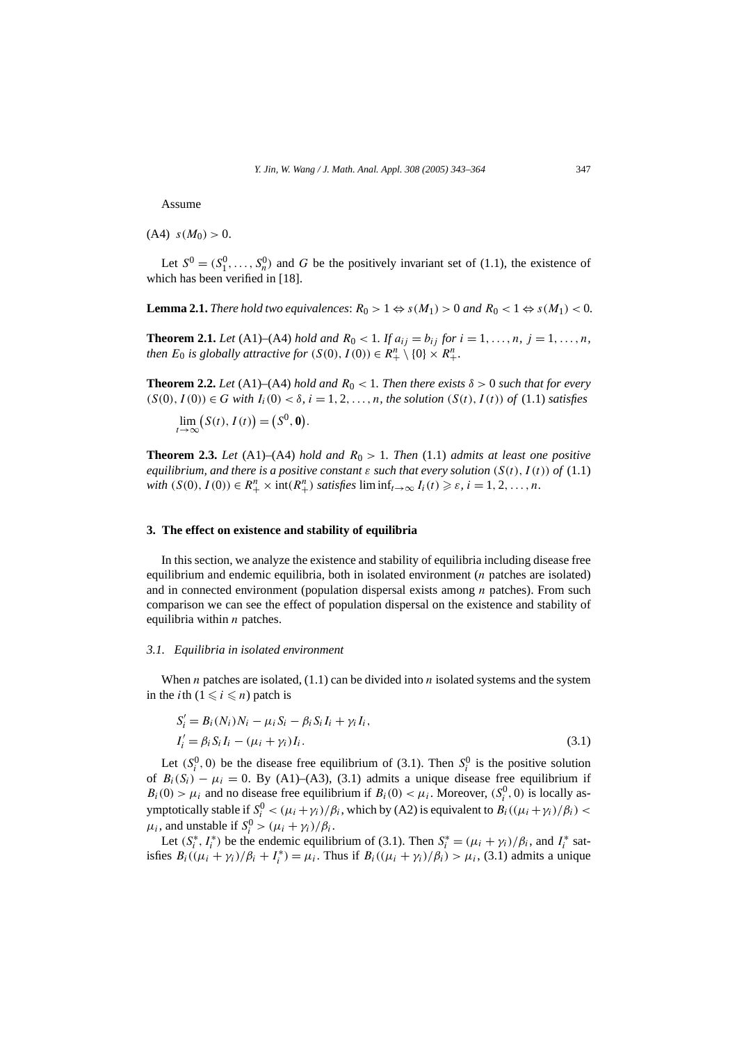Assume

 $(A4)$   $s(M_0) > 0$ .

Let  $S^0 = (S_1^0, \ldots, S_n^0)$  and *G* be the positively invariant set of (1.1), the existence of which has been verified in [18].

**Lemma 2.1.** *There hold two equivalences:*  $R_0 > 1 \Leftrightarrow s(M_1) > 0$  *and*  $R_0 < 1 \Leftrightarrow s(M_1) < 0$ .

**Theorem 2.1.** *Let* (A1)–(A4) *hold and*  $R_0 < 1$ *. If*  $a_{ij} = b_{ij}$  *for*  $i = 1, ..., n$ *,*  $j = 1, ..., n$ *, then*  $E_0$  *is globally attractive for*  $(S(0), I(0)) \in R_+^n \setminus \{0\} \times R_+^n$ .

**Theorem 2.2.** *Let* (A1)–(A4) *hold and*  $R_0 < 1$ *. Then there exists*  $\delta > 0$  *such that for every*  $(S(0), I(0)) ∈ G$  *with*  $I_i(0) < δ$ *,*  $i = 1, 2, ..., n$ *, the solution*  $(S(t), I(t))$  *of* (1.1) *satisfies* 

$$
\lim_{t\to\infty} (S(t), I(t)) = (S^0, \mathbf{0}).
$$

**Theorem 2.3.** Let (A1)–(A4) *hold and*  $R_0 > 1$ . Then (1.1) *admits at least one positive equilibrium, and there is a positive constant*  $\varepsilon$  *such that every solution*  $(S(t), I(t))$  *of* (1.1) *with*  $(S(0), I(0)) \in R_+^n \times \text{int}(R_+^n)$  *satisfies*  $\liminf_{t \to \infty} I_i(t) \geq \varepsilon, i = 1, 2, ..., n$ .

# **3. The effect on existence and stability of equilibria**

In this section, we analyze the existence and stability of equilibria including disease free equilibrium and endemic equilibria, both in isolated environment (*n* patches are isolated) and in connected environment (population dispersal exists among *n* patches). From such comparison we can see the effect of population dispersal on the existence and stability of equilibria within *n* patches.

#### *3.1. Equilibria in isolated environment*

When *n* patches are isolated, (1.1) can be divided into *n* isolated systems and the system in the *i*th  $(1 \le i \le n)$  patch is

$$
S'_{i} = B_{i}(N_{i})N_{i} - \mu_{i}S_{i} - \beta_{i}S_{i}I_{i} + \gamma_{i}I_{i},
$$
  
\n
$$
I'_{i} = \beta_{i}S_{i}I_{i} - (\mu_{i} + \gamma_{i})I_{i}.
$$
\n(3.1)

Let  $(S_i^0, 0)$  be the disease free equilibrium of (3.1). Then  $S_i^0$  is the positive solution of  $B_i(S_i) - \mu_i = 0$ . By (A1)–(A3), (3.1) admits a unique disease free equilibrium if  $B_i(0) > \mu_i$  and no disease free equilibrium if  $B_i(0) < \mu_i$ . Moreover,  $(S_i^0, 0)$  is locally asymptotically stable if  $S_i^0 < (\mu_i + \gamma_i)/\beta_i$ , which by (A2) is equivalent to  $B_i((\mu_i + \gamma_i)/\beta_i)$  $\mu_i$ , and unstable if  $S_i^0 > (\mu_i + \gamma_i)/\beta_i$ .

Let  $(S_i^*, I_i^*)$  be the endemic equilibrium of (3.1). Then  $S_i^* = (\mu_i + \gamma_i)/\beta_i$ , and  $I_i^*$  satisfies  $B_i((\mu_i + \gamma_i)/\beta_i + I_i^*) = \mu_i$ . Thus if  $B_i((\mu_i + \gamma_i)/\beta_i) > \mu_i$ , (3.1) admits a unique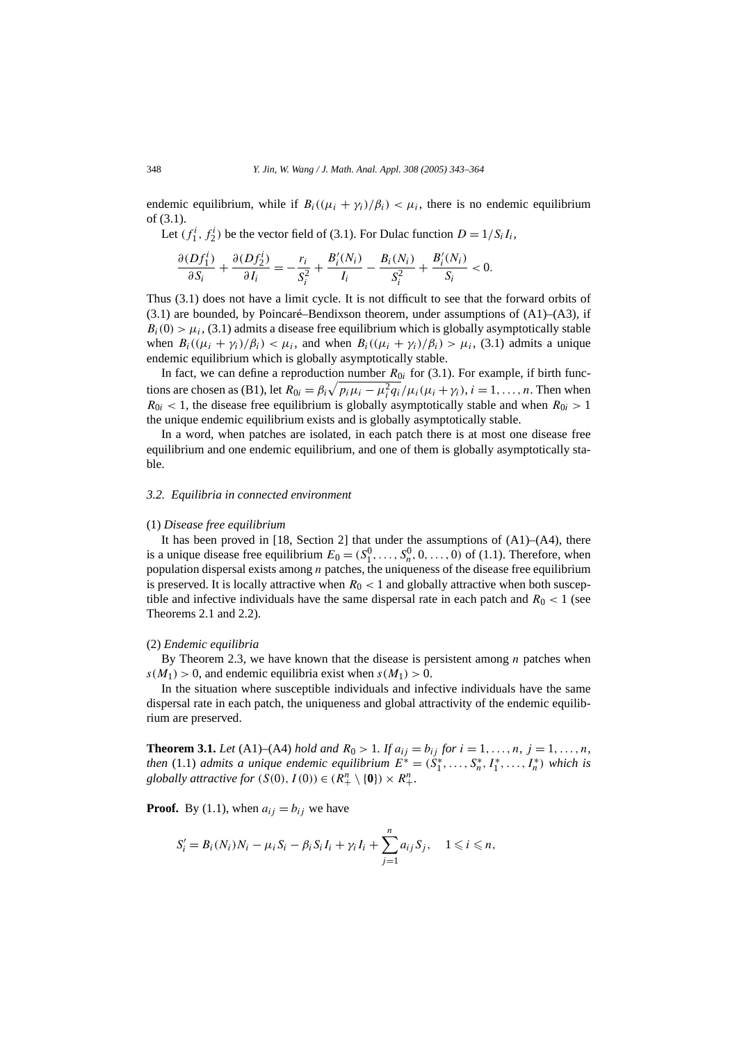endemic equilibrium, while if  $B_i((\mu_i + \gamma_i)/\beta_i) < \mu_i$ , there is no endemic equilibrium of (3.1).

Let  $(f_1^i, f_2^i)$  be the vector field of (3.1). For Dulac function  $D = 1/S_i I_i$ ,

$$
\frac{\partial (Df_1^i)}{\partial S_i} + \frac{\partial (Df_2^i)}{\partial I_i} = -\frac{r_i}{S_i^2} + \frac{B_i^{\prime}(N_i)}{I_i} - \frac{B_i(N_i)}{S_i^2} + \frac{B_i^{\prime}(N_i)}{S_i} < 0.
$$

Thus (3.1) does not have a limit cycle. It is not difficult to see that the forward orbits of  $(3.1)$  are bounded, by Poincaré–Bendixson theorem, under assumptions of  $(A1)$ – $(A3)$ , if  $B_i(0) > \mu_i$ , (3.1) admits a disease free equilibrium which is globally asymptotically stable when  $B_i((\mu_i + \gamma_i)/\beta_i) < \mu_i$ , and when  $B_i((\mu_i + \gamma_i)/\beta_i) > \mu_i$ , (3.1) admits a unique endemic equilibrium which is globally asymptotically stable.

In fact, we can define a reproduction number  $R_{0i}$  for (3.1). For example, if birth functions are chosen as (B1), let  $R_{0i} = \beta_i \sqrt{p_i \mu_i - \mu_i^2 q_i / \mu_i (\mu_i + \gamma_i)}$ ,  $i = 1, ..., n$ . Then when  $R_{0i}$  < 1, the disease free equilibrium is globally asymptotically stable and when  $R_{0i}$  > 1 the unique endemic equilibrium exists and is globally asymptotically stable.

In a word, when patches are isolated, in each patch there is at most one disease free equilibrium and one endemic equilibrium, and one of them is globally asymptotically stable.

#### *3.2. Equilibria in connected environment*

#### (1) *Disease free equilibrium*

It has been proved in [18, Section 2] that under the assumptions of (A1)–(A4), there is a unique disease free equilibrium  $E_0 = (S_1^0, \ldots, S_n^0, 0, \ldots, 0)$  of (1.1). Therefore, when population dispersal exists among *n* patches, the uniqueness of the disease free equilibrium is preserved. It is locally attractive when  $R_0 < 1$  and globally attractive when both susceptible and infective individuals have the same dispersal rate in each patch and  $R_0 < 1$  (see Theorems 2.1 and 2.2).

#### (2) *Endemic equilibria*

By Theorem 2.3, we have known that the disease is persistent among *n* patches when  $s(M_1) > 0$ , and endemic equilibria exist when  $s(M_1) > 0$ .

In the situation where susceptible individuals and infective individuals have the same dispersal rate in each patch, the uniqueness and global attractivity of the endemic equilibrium are preserved.

**Theorem 3.1.** *Let* (A1)–(A4) *hold and*  $R_0 > 1$ *. If*  $a_{ij} = b_{ij}$  *for*  $i = 1, ..., n$ *,*  $j = 1, ..., n$ *, then* (1.1) *admits a unique endemic equilibrium*  $E^* = (S_1^*, \ldots, S_n^*, I_1^*, \ldots, I_n^*)$  *which is globally attractive for*  $(S(0), I(0)) \in (R_+^n \setminus \{0\}) \times R_+^n$ .

**Proof.** By (1.1), when  $a_{ij} = b_{ij}$  we have

$$
S'_{i}=B_{i}(N_{i})N_{i}-\mu_{i}S_{i}-\beta_{i}S_{i}I_{i}+\gamma_{i}I_{i}+\sum_{j=1}^{n}a_{ij}S_{j}, \quad 1\leqslant i\leqslant n,
$$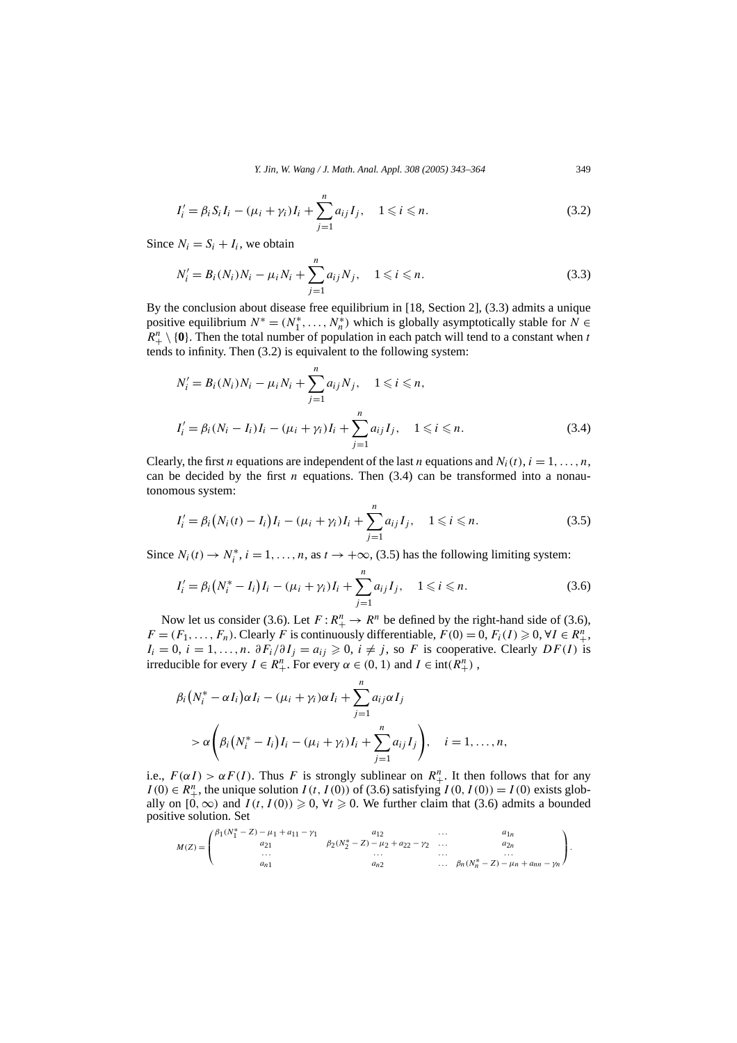*Y. Jin, W. Wang / J. Math. Anal. Appl. 308 (2005) 343–364* 349

$$
I'_{i} = \beta_{i} S_{i} I_{i} - (\mu_{i} + \gamma_{i}) I_{i} + \sum_{j=1}^{n} a_{ij} I_{j}, \quad 1 \leq i \leq n.
$$
 (3.2)

Since  $N_i = S_i + I_i$ , we obtain

$$
N'_{i} = B_{i}(N_{i})N_{i} - \mu_{i}N_{i} + \sum_{j=1}^{n} a_{ij}N_{j}, \quad 1 \leq i \leq n.
$$
 (3.3)

By the conclusion about disease free equilibrium in [18, Section 2], (3.3) admits a unique positive equilibrium  $N^* = (N_1^*, \ldots, N_n^*)$  which is globally asymptotically stable for  $N \in$  $R_+^n \setminus \{0\}$ . Then the total number of population in each patch will tend to a constant when *t* tends to infinity. Then (3.2) is equivalent to the following system:

$$
N'_{i} = B_{i}(N_{i})N_{i} - \mu_{i}N_{i} + \sum_{j=1}^{n} a_{ij}N_{j}, \quad 1 \leq i \leq n,
$$
  

$$
I'_{i} = \beta_{i}(N_{i} - I_{i})I_{i} - (\mu_{i} + \gamma_{i})I_{i} + \sum_{j=1}^{n} a_{ij}I_{j}, \quad 1 \leq i \leq n.
$$
 (3.4)

Clearly, the first *n* equations are independent of the last *n* equations and  $N_i(t)$ ,  $i = 1, \ldots, n$ , can be decided by the first  $n$  equations. Then  $(3.4)$  can be transformed into a nonautonomous system:

$$
I'_{i} = \beta_{i} (N_{i}(t) - I_{i}) I_{i} - (\mu_{i} + \gamma_{i}) I_{i} + \sum_{j=1}^{n} a_{ij} I_{j}, \quad 1 \leq i \leq n.
$$
 (3.5)

Since  $N_i(t) \to N_i^*$ ,  $i = 1, ..., n$ , as  $t \to +\infty$ , (3.5) has the following limiting system:

$$
I'_{i} = \beta_{i} \left( N_{i}^{*} - I_{i} \right) I_{i} - (\mu_{i} + \gamma_{i}) I_{i} + \sum_{j=1}^{n} a_{ij} I_{j}, \quad 1 \leq i \leq n. \tag{3.6}
$$

Now let us consider (3.6). Let  $F: R^n_+ \to R^n$  be defined by the right-hand side of (3.6), *F* =  $(F_1, ..., F_n)$ . Clearly *F* is continuously differentiable, *F*(0*)* = 0, *F<sub>i</sub>*(*I*) ≥ 0, ∀*I* ∈ *R*<sup>*n*</sup>+.  $I_i = 0$ ,  $i = 1, ..., n$ .  $\partial F_i / \partial I_j = a_{ij} \geq 0$ ,  $i \neq j$ , so *F* is cooperative. Clearly *DF(I)* is irreducible for every  $I \in R_+^n$ . For every  $\alpha \in (0, 1)$  and  $I \in \text{int}(R_+^n)$ ,

$$
\beta_i (N_i^* - \alpha I_i) \alpha I_i - (\mu_i + \gamma_i) \alpha I_i + \sum_{j=1}^n a_{ij} \alpha I_j
$$
  
>  $\alpha \left( \beta_i (N_i^* - I_i) I_i - (\mu_i + \gamma_i) I_i + \sum_{j=1}^n a_{ij} I_j \right), \quad i = 1, ..., n,$ 

i.e.,  $F(\alpha I) > \alpha F(I)$ . Thus *F* is strongly sublinear on  $R^n_+$ . It then follows that for any *I* (0) ∈  $R_+^n$ , the unique solution *I* (*t*, *I* (0)) of (3.6) satisfying *I* (0, *I* (0)) = *I* (0) exists globally on  $[0, \infty)$  and  $I(t, I(0)) \ge 0$ ,  $\forall t \ge 0$ . We further claim that (3.6) admits a bounded positive solution. Set

$$
M(Z)=\begin{pmatrix} \beta_1(N_1^*-Z)-\mu_1+a_{11}-\gamma_1&a_{12}&\dots&a_{1n}\\ a_{21}&\beta_2(N_2^*-Z)-\mu_2+a_{22}-\gamma_2&\dots&a_{2n}\\ \dots&\dots&\dots&\dots\\ a_{n1}& a_{n2}&\dots&\beta_n(N_n^*-Z)-\mu_n+a_{nn}-\gamma_n \end{pmatrix}.
$$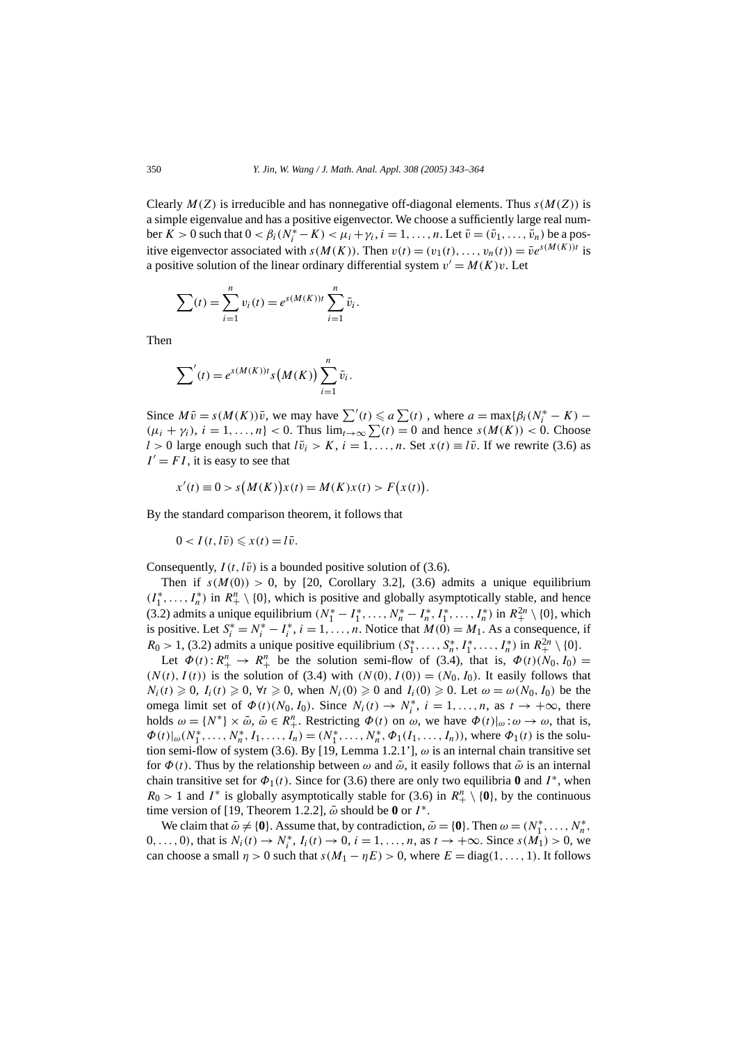Clearly  $M(Z)$  is irreducible and has nonnegative off-diagonal elements. Thus  $s(M(Z))$  is a simple eigenvalue and has a positive eigenvector. We choose a sufficiently large real num- $\text{ber } K > 0 \text{ such that } 0 < \beta_i (N_i^* - K) < \mu_i + \gamma_i, i = 1, \dots, n. \text{ Let } \bar{v} = (\bar{v}_1, \dots, \bar{v}_n) \text{ be a pos-$ itive eigenvector associated with  $s(M(K))$ . Then  $v(t) = (v_1(t), \ldots, v_n(t)) = \overline{v}e^{s(M(K))t}$  is a positive solution of the linear ordinary differential system  $v' = M(K)v$ . Let

$$
\sum(t) = \sum_{i=1}^{n} v_i(t) = e^{s(M(K))t} \sum_{i=1}^{n} \bar{v}_i.
$$

Then

$$
\sum'(t) = e^{s(M(K))t} s(M(K)) \sum_{i=1}^n \bar{v}_i.
$$

Since  $M\bar{v} = s(M(K))\bar{v}$ , we may have  $\sum'(t) \le a \sum(t)$ , where  $a = \max\{\beta_i(N_i^* - K) - \beta_i\}$  $(\mu_i + \gamma_i), i = 1, \ldots, n\}$  < 0. Thus  $\lim_{t \to \infty} \sum_i (t) = 0$  and hence  $s(M(K)) < 0$ . Choose *l* > 0 large enough such that  $l\bar{v}_i > K$ ,  $i = 1, ..., n$ . Set  $x(t) \equiv l\bar{v}$ . If we rewrite (3.6) as  $I' = FI$ , it is easy to see that

$$
x'(t) \equiv 0 > s(M(K))x(t) = M(K)x(t) > F(x(t)).
$$

By the standard comparison theorem, it follows that

$$
0 < I(t, l\bar{v}) \leqslant x(t) = l\bar{v}.
$$

Consequently,  $I(t, l\bar{v})$  is a bounded positive solution of (3.6).

Then if  $s(M(0)) > 0$ , by [20, Corollary 3.2], (3.6) admits a unique equilibrium  $(I_1^*, \ldots, I_n^*)$  in  $R_+^n \setminus \{0\}$ , which is positive and globally asymptotically stable, and hence (3.2) admits a unique equilibrium  $(N_1^* - I_1^*, \ldots, N_n^* - I_n^*, I_1^*, \ldots, I_n^*)$  in  $R_+^{2n} \setminus \{0\}$ , which is positive. Let  $S_i^* = N_i^* - I_i^*$ ,  $i = 1, ..., n$ . Notice that  $M(0) = M_1$ . As a consequence, if *R*<sub>0</sub> > 1, (3.2) admits a unique positive equilibrium  $(S_1^*, \ldots, S_n^*, I_1^*, \ldots, I_n^*)$  in  $R_+^{2n} \setminus \{0\}$ .

Let  $\Phi(t): R_{+}^{n} \to R_{+}^{n}$  be the solution semi-flow of (3.4), that is,  $\Phi(t)(N_{0}, I_{0}) =$  $(N(t), I(t))$  is the solution of (3.4) with  $(N(0), I(0)) = (N_0, I_0)$ . It easily follows that  $N_i(t) \geq 0$ ,  $I_i(t) \geq 0$ ,  $\forall t \geq 0$ , when  $N_i(0) \geq 0$  and  $I_i(0) \geq 0$ . Let  $\omega = \omega(N_0, I_0)$  be the omega limit set of  $\Phi(t)(N_0, I_0)$ . Since  $N_i(t) \to N_i^*$ ,  $i = 1, ..., n$ , as  $t \to +\infty$ , there holds  $\omega = \{N^*\}\times\tilde{\omega}, \tilde{\omega} \in R_+^n$ . Restricting  $\Phi(t)$  on  $\omega$ , we have  $\Phi(t)|_{\omega} : \omega \to \omega$ , that is,  $\Phi(t)|_{\omega}(N_1^*, \ldots, N_n^*, I_1, \ldots, I_n) = (N_1^*, \ldots, N_n^*, \Phi_1(I_1, \ldots, I_n)),$  where  $\Phi_1(t)$  is the solution semi-flow of system (3.6). By [19, Lemma 1.2.1'],  $\omega$  is an internal chain transitive set for  $\Phi(t)$ . Thus by the relationship between  $\omega$  and  $\tilde{\omega}$ , it easily follows that  $\tilde{\omega}$  is an internal chain transitive set for  $\Phi_1(t)$ . Since for (3.6) there are only two equilibria **0** and  $I^*$ , when  $R_0 > 1$  and  $I^*$  is globally asymptotically stable for (3.6) in  $R_+^n \setminus \{0\}$ , by the continuous time version of [19, Theorem 1.2.2],  $\tilde{\omega}$  should be 0 or  $I^*$ .

We claim that  $\tilde{\omega} \neq \{0\}$ . Assume that, by contradiction,  $\tilde{\omega} = \{0\}$ . Then  $\omega = (N_1^*, \dots, N_n^*)$ . 0,..., 0), that is  $N_i(t) \to N_i^*$ ,  $I_i(t) \to 0$ ,  $i = 1, ..., n$ , as  $t \to +\infty$ . Since  $s(M_1) > 0$ , we can choose a small  $\eta > 0$  such that  $s(M_1 - \eta E) > 0$ , where  $E = \text{diag}(1, \ldots, 1)$ . It follows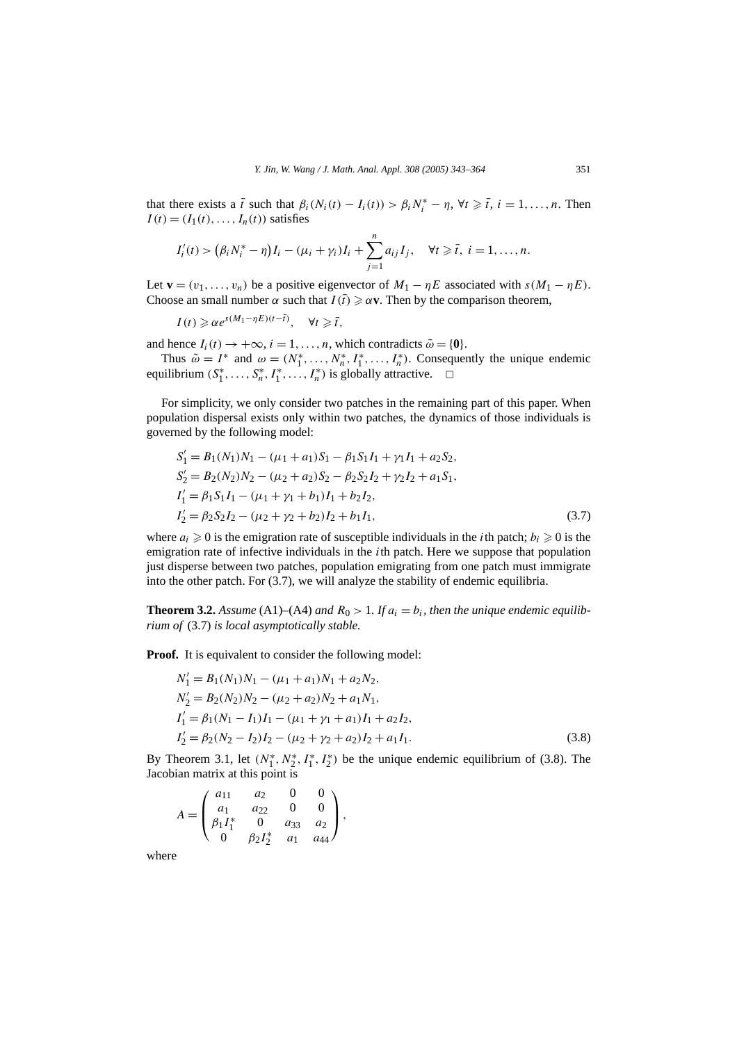that there exists a  $\bar{t}$  such that  $\beta_i(N_i(t) - I_i(t)) > \beta_i N_i^* - \eta$ ,  $\forall t \geq \bar{t}$ ,  $i = 1, ..., n$ . Then  $I(t) = (I_1(t), \ldots, I_n(t))$  satisfies

$$
I'_{i}(t) > (\beta_{i} N_{i}^{*} - \eta) I_{i} - (\mu_{i} + \gamma_{i}) I_{i} + \sum_{j=1}^{n} a_{ij} I_{j}, \quad \forall t \geq \bar{t}, i = 1, ..., n.
$$

Let **v** =  $(v_1, \ldots, v_n)$  be a positive eigenvector of  $M_1 - \eta E$  associated with  $s(M_1 - \eta E)$ . Choose an small number  $\alpha$  such that  $I(\bar{t}) \geq \alpha v$ . Then by the comparison theorem,

 $I(t) \geq \alpha e^{s(M_1 - \eta E)(t - \bar{t})}, \quad \forall t \geq \bar{t},$ 

and hence  $I_i(t) \rightarrow +\infty$ ,  $i = 1, ..., n$ , which contradicts  $\tilde{\omega} = \{0\}.$ 

Thus  $\tilde{\omega} = I^*$  and  $\omega = (N_1^*, \ldots, N_n^*, I_1^*, \ldots, I_n^*)$ . Consequently the unique endemic equilibrium  $(S_1^*, \ldots, S_n^*, I_1^*, \ldots, I_n^*)$  is globally attractive.  $\Box$ 

For simplicity, we only consider two patches in the remaining part of this paper. When population dispersal exists only within two patches, the dynamics of those individuals is governed by the following model:

$$
S'_1 = B_1(N_1)N_1 - (\mu_1 + a_1)S_1 - \beta_1 S_1 I_1 + \gamma_1 I_1 + a_2 S_2,
$$
  
\n
$$
S'_2 = B_2(N_2)N_2 - (\mu_2 + a_2)S_2 - \beta_2 S_2 I_2 + \gamma_2 I_2 + a_1 S_1,
$$
  
\n
$$
I'_1 = \beta_1 S_1 I_1 - (\mu_1 + \gamma_1 + b_1) I_1 + b_2 I_2,
$$
  
\n
$$
I'_2 = \beta_2 S_2 I_2 - (\mu_2 + \gamma_2 + b_2) I_2 + b_1 I_1,
$$
\n(3.7)

where  $a_i \geq 0$  is the emigration rate of susceptible individuals in the *i*th patch;  $b_i \geq 0$  is the emigration rate of infective individuals in the *i*th patch. Here we suppose that population just disperse between two patches, population emigrating from one patch must immigrate into the other patch. For (3.7), we will analyze the stability of endemic equilibria.

**Theorem 3.2.** Assume (A1)–(A4) and  $R_0 > 1$ . If  $a_i = b_i$ , then the unique endemic equilib*rium of* (3.7) *is local asymptotically stable.*

**Proof.** It is equivalent to consider the following model:

$$
N'_1 = B_1(N_1)N_1 - (\mu_1 + a_1)N_1 + a_2N_2,
$$
  
\n
$$
N'_2 = B_2(N_2)N_2 - (\mu_2 + a_2)N_2 + a_1N_1,
$$
  
\n
$$
I'_1 = \beta_1(N_1 - I_1)I_1 - (\mu_1 + \gamma_1 + a_1)I_1 + a_2I_2,
$$
  
\n
$$
I'_2 = \beta_2(N_2 - I_2)I_2 - (\mu_2 + \gamma_2 + a_2)I_2 + a_1I_1.
$$
\n(3.8)

By Theorem 3.1, let  $(N_1^*, N_2^*, I_1^*, I_2^*)$  be the unique endemic equilibrium of (3.8). The Jacobian matrix at this point is

$$
A = \begin{pmatrix} a_{11} & a_2 & 0 & 0 \\ a_1 & a_{22} & 0 & 0 \\ \beta_1 I_1^* & 0 & a_{33} & a_2 \\ 0 & \beta_2 I_2^* & a_1 & a_{44} \end{pmatrix},
$$

where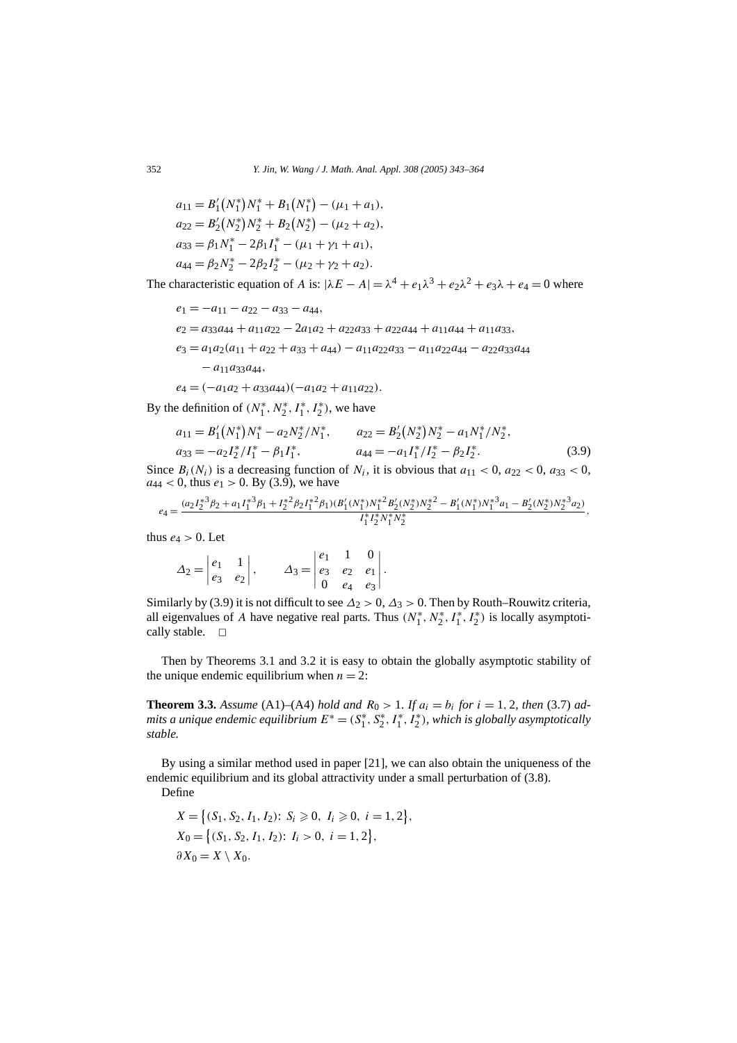$$
a_{11} = B'_1(N_1^*)N_1^* + B_1(N_1^*) - (\mu_1 + a_1),
$$
  
\n
$$
a_{22} = B'_2(N_2^*)N_2^* + B_2(N_2^*) - (\mu_2 + a_2),
$$
  
\n
$$
a_{33} = \beta_1 N_1^* - 2\beta_1 I_1^* - (\mu_1 + \gamma_1 + a_1),
$$
  
\n
$$
a_{44} = \beta_2 N_2^* - 2\beta_2 I_2^* - (\mu_2 + \gamma_2 + a_2).
$$

The characteristic equation of *A* is:  $|\lambda E - A| = \lambda^4 + e_1 \lambda^3 + e_2 \lambda^2 + e_3 \lambda + e_4 = 0$  where

$$
e_1 = -a_{11} - a_{22} - a_{33} - a_{44},
$$
  
\n
$$
e_2 = a_{33}a_{44} + a_{11}a_{22} - 2a_{1}a_2 + a_{22}a_{33} + a_{22}a_{44} + a_{11}a_{44} + a_{11}a_{33},
$$
  
\n
$$
e_3 = a_1a_2(a_{11} + a_{22} + a_{33} + a_{44}) - a_{11}a_{22}a_{33} - a_{11}a_{22}a_{44} - a_{22}a_{33}a_{44}
$$
  
\n
$$
- a_{11}a_{33}a_{44},
$$
  
\n
$$
e_4 = (-a_1a_2 + a_{33}a_{44})(-a_1a_2 + a_{11}a_{22}).
$$

By the definition of  $(N_1^*, N_2^*, I_1^*, I_2^*)$ , we have

$$
a_{11} = B'_1(N_1^*)N_1^* - a_2N_2^*/N_1^*, \qquad a_{22} = B'_2(N_2^*)N_2^* - a_1N_1^*/N_2^*,
$$
  
\n
$$
a_{33} = -a_2I_2^*/I_1^* - \beta_1I_1^*, \qquad a_{44} = -a_1I_1^*/I_2^* - \beta_2I_2^*.
$$
\n(3.9)

Since  $B_i(N_i)$  is a decreasing function of  $N_i$ , it is obvious that  $a_{11} < 0$ ,  $a_{22} < 0$ ,  $a_{33} < 0$ ,  $a_{44}$  < 0, thus  $e_1$  > 0. By (3.9), we have

$$
e_4 = \frac{(a_2 I_2^{*3} \beta_2 + a_1 I_1^{*3} \beta_1 + I_2^{*2} \beta_2 I_1^{*2} \beta_1)(B_1' (N_1^*) N_1^{*2} B_2' (N_2^*) N_2^{*2} - B_1' (N_1^*) N_1^{*3} a_1 - B_2' (N_2^*) N_2^{*3} a_2)}{I_1^* I_2^* N_1^* N_2^*},
$$

thus  $e_4 > 0$ . Let

$$
\Delta_2 = \begin{vmatrix} e_1 & 1 \\ e_3 & e_2 \end{vmatrix}, \qquad \Delta_3 = \begin{vmatrix} e_1 & 1 & 0 \\ e_3 & e_2 & e_1 \\ 0 & e_4 & e_3 \end{vmatrix}.
$$

Similarly by (3.9) it is not difficult to see  $\Delta_2 > 0$ ,  $\Delta_3 > 0$ . Then by Routh–Rouwitz criteria, all eigenvalues of *A* have negative real parts. Thus  $(N_1^*, N_2^*, I_1^*, I_2^*)$  is locally asymptotically stable.  $\square$ 

Then by Theorems 3.1 and 3.2 it is easy to obtain the globally asymptotic stability of the unique endemic equilibrium when  $n = 2$ :

**Theorem 3.3.** *Assume* (A1)–(A4) *hold and*  $R_0 > 1$ *. If*  $a_i = b_i$  *for*  $i = 1, 2$ *, then* (3.7) *admits a unique endemic equilibrium*  $E^* = (S_1^*, S_2^*, I_1^*, I_2^*)$ , which is globally asymptotically *stable.*

By using a similar method used in paper [21], we can also obtain the uniqueness of the endemic equilibrium and its global attractivity under a small perturbation of (3.8).

Define

$$
X = \{(S_1, S_2, I_1, I_2): S_i \ge 0, I_i \ge 0, i = 1, 2\},
$$
  
\n
$$
X_0 = \{(S_1, S_2, I_1, I_2): I_i > 0, i = 1, 2\},
$$
  
\n
$$
\partial X_0 = X \setminus X_0.
$$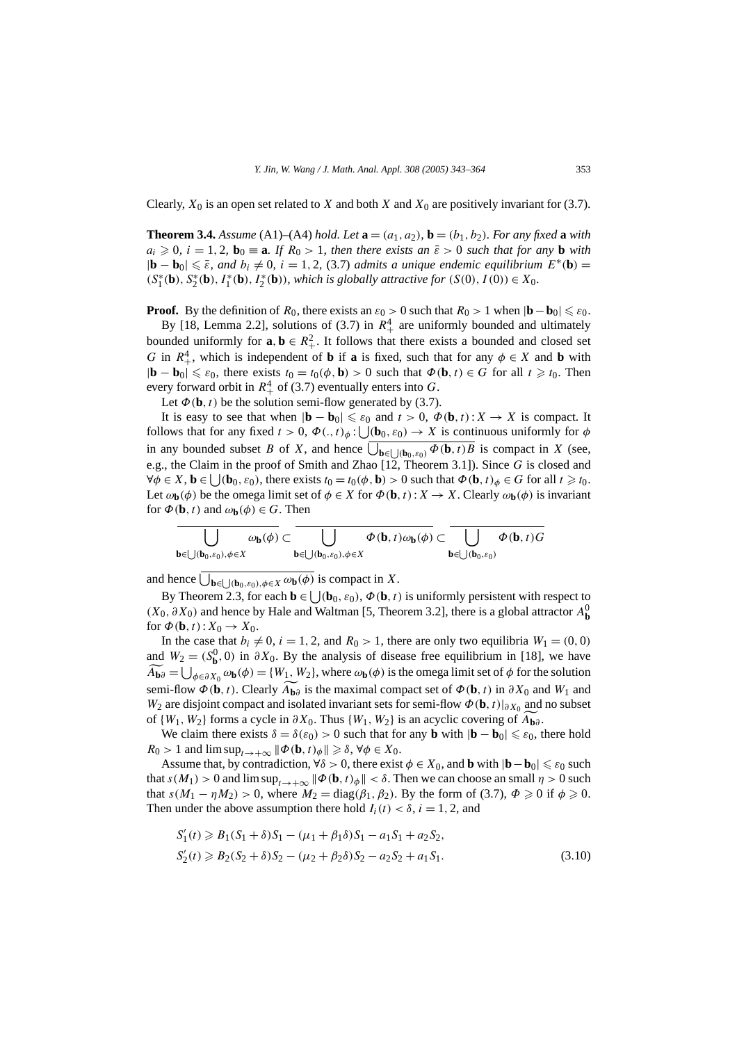Clearly,  $X_0$  is an open set related to *X* and both *X* and  $X_0$  are positively invariant for (3.7).

**Theorem 3.4.** *Assume* (A1)–(A4) *hold. Let*  $\mathbf{a} = (a_1, a_2)$ ,  $\mathbf{b} = (b_1, b_2)$ *. For any fixed*  $\mathbf{a}$  *with*  $a_i \geq 0$ ,  $i = 1, 2$ ,  $b_0 \equiv \mathbf{a}$ . If  $R_0 > 1$ , then there exists an  $\bar{\varepsilon} > 0$  such that for any **b** with  $|\mathbf{b} - \mathbf{b}_0| \leq \bar{\varepsilon}$ , and  $b_i \neq 0$ ,  $i = 1, 2, (3.7)$  *admits a unique endemic equilibrium*  $E^*(\mathbf{b}) =$  $(S_1^*(\mathbf{b}), S_2^*(\mathbf{b}), I_1^*(\mathbf{b}), I_2^*(\mathbf{b}))$ , which is globally attractive for  $(S(0), I(0)) \in X_0$ .

**Proof.** By the definition of  $R_0$ , there exists an  $\varepsilon_0 > 0$  such that  $R_0 > 1$  when  $|\mathbf{b} - \mathbf{b}_0| \leqslant \varepsilon_0$ .

By [18, Lemma 2.2], solutions of  $(3.7)$  in  $R<sup>4</sup>$  are uniformly bounded and ultimately bounded uniformly for  $\mathbf{a}, \mathbf{b} \in R_+^2$ . It follows that there exists a bounded and closed set *G* in  $R_+^4$ , which is independent of **b** if **a** is fixed, such that for any  $\phi \in X$  and **b** with  $|\mathbf{b} - \mathbf{b}_0| \leq \varepsilon_0$ , there exists  $t_0 = t_0(\phi, \mathbf{b}) > 0$  such that  $\Phi(\mathbf{b}, t) \in G$  for all  $t \geq t_0$ . Then every forward orbit in  $R_+^4$  of (3.7) eventually enters into G.

Let  $\Phi(\mathbf{b}, t)$  be the solution semi-flow generated by (3.7).

It is easy to see that when  $|\mathbf{b} - \mathbf{b}_0| \leq \varepsilon_0$  and  $t > 0$ ,  $\Phi(\mathbf{b}, t): X \to X$  is compact. It follows that for any fixed  $t > 0$ ,  $\Phi(., t)_{\phi}$ :  $\bigcup (\mathbf{b}_0, \varepsilon_0) \to X$  is continuous uniformly for  $\phi$ in any bounded subset *B* of *X*, and hence  $\bigcup_{\mathbf{b} \in \bigcup (\mathbf{b}_0, \varepsilon_0)} \Phi(\mathbf{b}, t)B$  is compact in *X* (see, e.g., the Claim in the proof of Smith and Zhao [12, Theorem 3.1]). Since *G* is closed and  $\forall \phi \in X, \mathbf{b} \in \bigcup(\mathbf{b}_0, \varepsilon_0)$ , there exists  $t_0 = t_0(\phi, \mathbf{b}) > 0$  such that  $\Phi(\mathbf{b}, t)_{\phi} \in G$  for all  $t \geq t_0$ . Let  $\omega_{\bf b}(\phi)$  be the omega limit set of  $\phi \in X$  for  $\Phi(\bf b, t): X \to X$ . Clearly  $\omega_{\bf b}(\phi)$  is invariant for  $\Phi(\mathbf{b}, t)$  and  $\omega_{\mathbf{b}}(\phi) \in G$ . Then

$$
\overline{\bigcup_{\mathbf{b}\in \bigcup (\mathbf{b}_0,\varepsilon_0),\phi\in X}\omega_{\mathbf{b}}(\phi)}\subset \overline{\bigcup_{\mathbf{b}\in \bigcup (\mathbf{b}_0,\varepsilon_0),\phi\in X}\Phi(\mathbf{b},t)\omega_{\mathbf{b}}(\phi)}\subset \overline{\bigcup_{\mathbf{b}\in \bigcup (\mathbf{b}_0,\varepsilon_0)}\Phi(\mathbf{b},t)G}
$$

and hence  $\bigcup_{\mathbf{b}\in\bigcup(\mathbf{b}_0,\varepsilon_0),\phi\in X}\omega_{\mathbf{b}}(\phi)$  is compact in *X*.

By Theorem 2.3, for each  $\mathbf{b} \in \mathcal{b}$   $(\mathbf{b}_0, \varepsilon_0), \Phi(\mathbf{b}, t)$  is uniformly persistent with respect to *(X*<sub>0</sub>,  $\partial$ *X*<sub>0</sub>) and hence by Hale and Waltman [5, Theorem 3.2], there is a global attractor  $A$ <sup>0</sup>**b**</sub> for  $\Phi(\mathbf{b}, t): X_0 \to X_0$ .

In the case that  $b_i \neq 0$ ,  $i = 1, 2$ , and  $R_0 > 1$ , there are only two equilibria  $W_1 = (0, 0)$ and  $W_2 = (S_b^0, 0)$  in  $\partial X_0$ . By the analysis of disease free equilibrium in [18], we have  $\widetilde{A}_{\mathbf{b}\partial} = \bigcup_{\phi \in \partial X_0} \omega_{\mathbf{b}}(\phi) = \{W_1, W_2\}$ , where  $\omega_{\mathbf{b}}(\phi)$  is the omega limit set of  $\phi$  for the solution semi-flow  $\Phi(\mathbf{b},t)$ . Clearly  $A_{\mathbf{b}\partial}$  is the maximal compact set of  $\Phi(\mathbf{b},t)$  in  $\partial X_0$  and  $W_1$  and  $W_2$  are disjoint compact and isolated inversion sets for semi-flow  $\Phi(\mathbf{b},t)$ , and no subset *W*<sub>2</sub> are disjoint compact and isolated invariant sets for semi-flow  $\Phi(\mathbf{b}, t)|_{\partial X_0}$  and no subset of  $\{W_1, W_2\}$  forms a cycle in  $\partial X_0$ . Thus  $\{W_1, W_2\}$  is an acyclic covering of  $\overline{A}_{\mathbf{b}\partial}$ .

We claim there exists  $\delta = \delta(\epsilon_0) > 0$  such that for any **b** with  $|\mathbf{b} - \mathbf{b}_0| \leq \epsilon_0$ , there hold  $R_0 > 1$  and  $\limsup_{t \to +\infty} \|\Phi(\mathbf{b}, t)_{\phi}\| \geq \delta, \forall \phi \in X_0$ .

Assume that, by contradiction,  $\forall \delta > 0$ , there exist  $\phi \in X_0$ , and **b** with  $|\mathbf{b} - \mathbf{b}_0| \leq \varepsilon_0$  such that  $s(M_1) > 0$  and  $\limsup_{t \to +\infty} \|\phi(\mathbf{b}, t)_{\phi}\| < \delta$ . Then we can choose an small  $\eta > 0$  such that  $s(M_1 - \eta M_2) > 0$ , where  $M_2 = \text{diag}(\beta_1, \beta_2)$ . By the form of (3.7),  $\Phi \ge 0$  if  $\phi \ge 0$ . Then under the above assumption there hold  $I_i(t) < \delta$ ,  $i = 1, 2$ , and

$$
S'_1(t) \geq B_1(S_1 + \delta)S_1 - (\mu_1 + \beta_1 \delta)S_1 - a_1 S_1 + a_2 S_2,
$$
  
\n
$$
S'_2(t) \geq B_2(S_2 + \delta)S_2 - (\mu_2 + \beta_2 \delta)S_2 - a_2 S_2 + a_1 S_1.
$$
\n(3.10)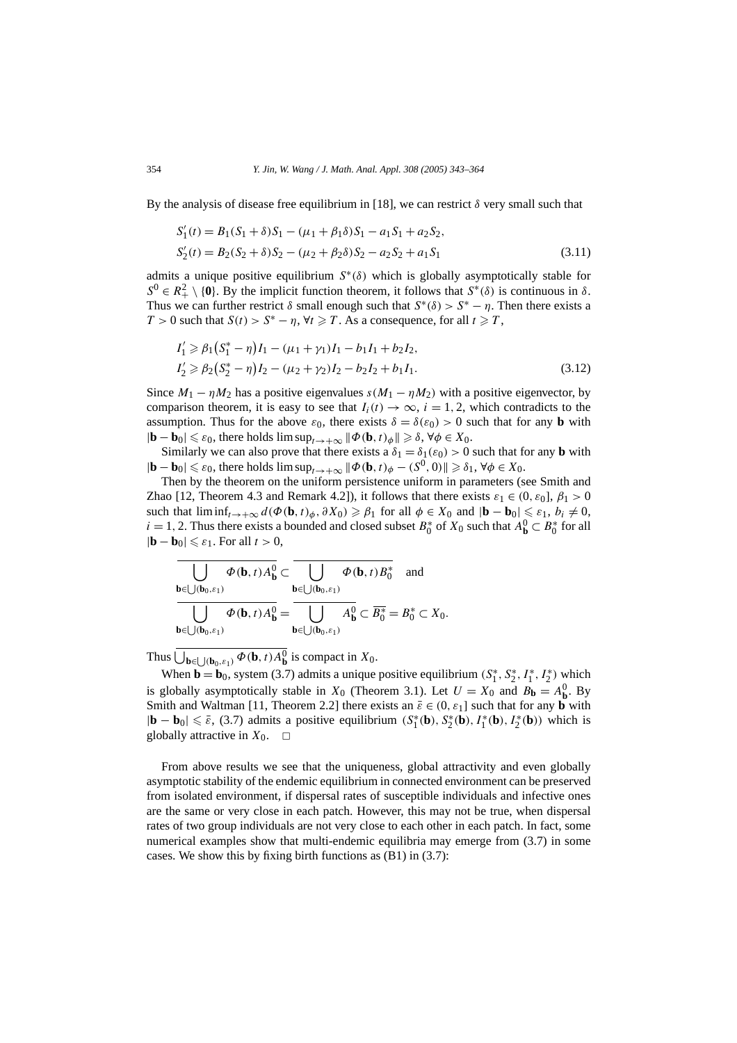By the analysis of disease free equilibrium in [18], we can restrict *δ* very small such that

$$
S'_1(t) = B_1(S_1 + \delta)S_1 - (\mu_1 + \beta_1 \delta)S_1 - a_1 S_1 + a_2 S_2,
$$
  
\n
$$
S'_2(t) = B_2(S_2 + \delta)S_2 - (\mu_2 + \beta_2 \delta)S_2 - a_2 S_2 + a_1 S_1
$$
\n(3.11)

admits a unique positive equilibrium *S*∗*(δ)* which is globally asymptotically stable for  $S^0 \in R^2_+ \setminus \{0\}$ . By the implicit function theorem, it follows that  $S^*(\delta)$  is continuous in  $\delta$ . Thus we can further restrict  $\delta$  small enough such that  $S^*(\delta) > S^* - \eta$ . Then there exists a *T* > 0 such that  $S(t) > S^* - \eta$ ,  $\forall t \ge T$ . As a consequence, for all  $t \ge T$ ,

$$
I'_1 \ge \beta_1 (S_1^* - \eta) I_1 - (\mu_1 + \gamma_1) I_1 - b_1 I_1 + b_2 I_2,
$$
  
\n
$$
I'_2 \ge \beta_2 (S_2^* - \eta) I_2 - (\mu_2 + \gamma_2) I_2 - b_2 I_2 + b_1 I_1.
$$
\n(3.12)

Since  $M_1 - \eta M_2$  has a positive eigenvalues  $s(M_1 - \eta M_2)$  with a positive eigenvector, by comparison theorem, it is easy to see that  $I_i(t) \to \infty$ ,  $i = 1, 2$ , which contradicts to the assumption. Thus for the above  $\varepsilon_0$ , there exists  $\delta = \delta(\varepsilon_0) > 0$  such that for any **b** with  $|\mathbf{b} - \mathbf{b}_0| \leq \varepsilon_0$ , there holds  $\limsup_{t \to +\infty} \|\Phi(\mathbf{b}, t)_{\phi}\| \geq \delta$ ,  $\forall \phi \in X_0$ .

Similarly we can also prove that there exists a  $\delta_1 = \delta_1(\epsilon_0) > 0$  such that for any **b** with  $|\mathbf{b} - \mathbf{b}_0| \leq \varepsilon_0$ , there holds  $\limsup_{t \to +\infty} \|\Phi(\mathbf{b}, t)_{\phi} - (S^0, 0)\| \geq \delta_1$ ,  $\forall \phi \in X_0$ .

Then by the theorem on the uniform persistence uniform in parameters (see Smith and Zhao [12, Theorem 4.3 and Remark 4.2]), it follows that there exists  $\varepsilon_1 \in (0, \varepsilon_0]$ ,  $\beta_1 > 0$ such that  $\liminf_{t\to+\infty} d(\Phi(\mathbf{b},t)_{\phi},\partial X_0) \geq \beta_1$  for all  $\phi \in X_0$  and  $|\mathbf{b}-\mathbf{b}_0| \leq \varepsilon_1$ ,  $b_i \neq 0$ , *i* = 1, 2. Thus there exists a bounded and closed subset  $B_0^*$  of  $X_0$  such that  $A_0^0$  ⊂  $B_0^*$  for all  $|\mathbf{b} - \mathbf{b}_0| \leq \varepsilon_1$ . For all  $t > 0$ ,

$$
\overline{\bigcup_{\mathbf{b}\in\bigcup(\mathbf{b}_0,\varepsilon_1)}\Phi(\mathbf{b},t)A_{\mathbf{b}}^0}\subset \overline{\bigcup_{\mathbf{b}\in\bigcup(\mathbf{b}_0,\varepsilon_1)}\Phi(\mathbf{b},t)B_0^*} \text{ and}
$$
\n
$$
\overline{\bigcup_{\mathbf{b}\in\bigcup(\mathbf{b}_0,\varepsilon_1)}\Phi(\mathbf{b},t)A_{\mathbf{b}}^0} = \overline{\bigcup_{\mathbf{b}\in\bigcup(\mathbf{b}_0,\varepsilon_1)}A_{\mathbf{b}}^0\subset \overline{B_0^*}} = B_0^* \subset X_0.
$$

Thus  $\bigcup_{\mathbf{b}\in\bigcup(\mathbf{b}_0,\varepsilon_1)}\Phi(\mathbf{b},t)A_{\mathbf{b}}^0$  is compact in  $X_0$ .

When **b** = **b**<sub>0</sub>, system (3.7) admits a unique positive equilibrium  $(S_1^*, S_2^*, I_1^*, I_2^*)$  which is globally asymptotically stable in  $X_0$  (Theorem 3.1). Let  $U = X_0$  and  $B_b = A_b^0$ . By Smith and Waltman [11, Theorem 2.2] there exists an  $\bar{\varepsilon} \in (0, \varepsilon_1]$  such that for any **b** with  $|\mathbf{b} - \mathbf{b}_0|$  ≤  $\bar{\varepsilon}$ , (3.7) admits a positive equilibrium  $(S_1^*(\mathbf{b}), S_2^*(\mathbf{b}), I_1^*(\mathbf{b}), I_2^*(\mathbf{b}))$  which is globally attractive in  $X_0$ .  $\Box$ 

From above results we see that the uniqueness, global attractivity and even globally asymptotic stability of the endemic equilibrium in connected environment can be preserved from isolated environment, if dispersal rates of susceptible individuals and infective ones are the same or very close in each patch. However, this may not be true, when dispersal rates of two group individuals are not very close to each other in each patch. In fact, some numerical examples show that multi-endemic equilibria may emerge from (3.7) in some cases. We show this by fixing birth functions as (B1) in (3.7):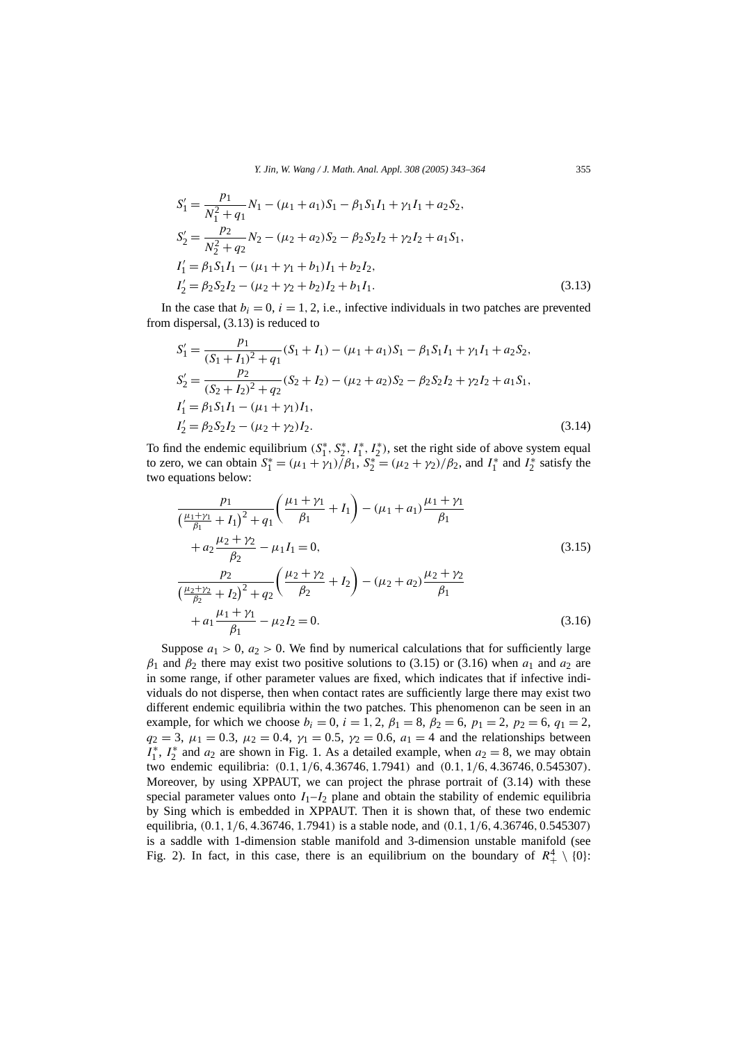$$
S'_{1} = \frac{p_{1}}{N_{1}^{2} + q_{1}} N_{1} - (\mu_{1} + a_{1}) S_{1} - \beta_{1} S_{1} I_{1} + \gamma_{1} I_{1} + a_{2} S_{2},
$$
  
\n
$$
S'_{2} = \frac{p_{2}}{N_{2}^{2} + q_{2}} N_{2} - (\mu_{2} + a_{2}) S_{2} - \beta_{2} S_{2} I_{2} + \gamma_{2} I_{2} + a_{1} S_{1},
$$
  
\n
$$
I'_{1} = \beta_{1} S_{1} I_{1} - (\mu_{1} + \gamma_{1} + b_{1}) I_{1} + b_{2} I_{2},
$$
  
\n
$$
I'_{2} = \beta_{2} S_{2} I_{2} - (\mu_{2} + \gamma_{2} + b_{2}) I_{2} + b_{1} I_{1}.
$$
  
\n(3.13)

In the case that  $b_i = 0$ ,  $i = 1, 2$ , i.e., infective individuals in two patches are prevented from dispersal, (3.13) is reduced to

$$
S'_{1} = \frac{p_{1}}{(S_{1} + I_{1})^{2} + q_{1}} (S_{1} + I_{1}) - (\mu_{1} + a_{1})S_{1} - \beta_{1}S_{1}I_{1} + \gamma_{1}I_{1} + a_{2}S_{2},
$$
  
\n
$$
S'_{2} = \frac{p_{2}}{(S_{2} + I_{2})^{2} + q_{2}} (S_{2} + I_{2}) - (\mu_{2} + a_{2})S_{2} - \beta_{2}S_{2}I_{2} + \gamma_{2}I_{2} + a_{1}S_{1},
$$
  
\n
$$
I'_{1} = \beta_{1}S_{1}I_{1} - (\mu_{1} + \gamma_{1})I_{1},
$$
  
\n
$$
I'_{2} = \beta_{2}S_{2}I_{2} - (\mu_{2} + \gamma_{2})I_{2}.
$$
  
\n(3.14)

To find the endemic equilibrium  $(S_1^*, S_2^*, I_1^*, I_2^*)$ , set the right side of above system equal to zero, we can obtain  $S_1^* = (\mu_1 + \gamma_1)/\beta_1$ ,  $S_2^* = (\mu_2 + \gamma_2)/\beta_2$ , and  $I_1^*$  and  $I_2^*$  satisfy the two equations below:

$$
\frac{p_1}{\left(\frac{\mu_1 + \gamma_1}{\beta_1} + I_1\right)^2 + q_1} \left(\frac{\mu_1 + \gamma_1}{\beta_1} + I_1\right) - (\mu_1 + a_1) \frac{\mu_1 + \gamma_1}{\beta_1} + a_2 \frac{\mu_2 + \gamma_2}{\beta_2} - \mu_1 I_1 = 0,
$$
\n(3.15)\n
$$
\frac{p_2}{\left(\frac{\mu_2 + \gamma_2}{\beta_2} + I_2\right)^2 + q_2} \left(\frac{\mu_2 + \gamma_2}{\beta_2} + I_2\right) - (\mu_2 + a_2) \frac{\mu_2 + \gamma_2}{\beta_1} + a_1 \frac{\mu_1 + \gamma_1}{\beta_1} - \mu_2 I_2 = 0.
$$
\n(3.16)

Suppose  $a_1 > 0$ ,  $a_2 > 0$ . We find by numerical calculations that for sufficiently large  $β_1$  and  $β_2$  there may exist two positive solutions to (3.15) or (3.16) when  $a_1$  and  $a_2$  are in some range, if other parameter values are fixed, which indicates that if infective individuals do not disperse, then when contact rates are sufficiently large there may exist two different endemic equilibria within the two patches. This phenomenon can be seen in an example, for which we choose  $b_i = 0$ ,  $i = 1, 2$ ,  $\beta_1 = 8$ ,  $\beta_2 = 6$ ,  $p_1 = 2$ ,  $p_2 = 6$ ,  $q_1 = 2$ ,  $q_2 = 3$ ,  $\mu_1 = 0.3$ ,  $\mu_2 = 0.4$ ,  $\gamma_1 = 0.5$ ,  $\gamma_2 = 0.6$ ,  $a_1 = 4$  and the relationships between  $I_1^*$ ,  $I_2^*$  and  $a_2$  are shown in Fig. 1. As a detailed example, when  $a_2 = 8$ , we may obtain two endemic equilibria: *(*0*.*1*,* 1*/*6*,* 4*.*36746*,* 1*.*7941*)* and *(*0*.*1*,* 1*/*6*,* 4*.*36746*,* 0*.*545307*)*. Moreover, by using XPPAUT, we can project the phrase portrait of (3.14) with these special parameter values onto  $I_1-I_2$  plane and obtain the stability of endemic equilibria by Sing which is embedded in XPPAUT. Then it is shown that, of these two endemic equilibria, *(*0*.*1*,* 1*/*6*,* 4*.*36746*,* 1*.*7941*)* is a stable node, and *(*0*.*1*,* 1*/*6*,* 4*.*36746*,* 0*.*545307*)* is a saddle with 1-dimension stable manifold and 3-dimension unstable manifold (see Fig. 2). In fact, in this case, there is an equilibrium on the boundary of  $R^4_+ \setminus \{0\}$ :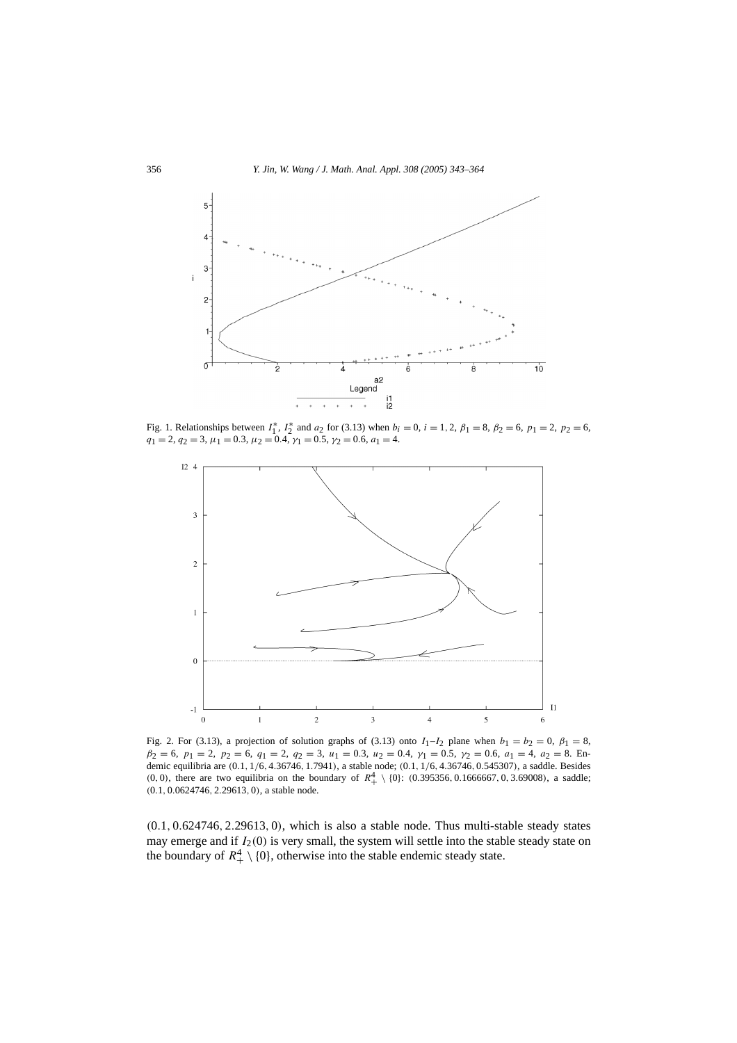

Fig. 1. Relationships between  $I_1^*$ ,  $I_2^*$  and  $a_2$  for (3.13) when  $b_i = 0$ ,  $i = 1, 2, \beta_1 = 8, \beta_2 = 6, \ p_1 = 2, \ p_2 = 6,$  $q_1 = 2, q_2 = 3, \mu_1 = 0.3, \mu_2 = 0.4, \gamma_1 = 0.5, \gamma_2 = 0.6, a_1 = 4.$ 



Fig. 2. For (3.13), a projection of solution graphs of (3.13) onto  $I_1-I_2$  plane when  $b_1 = b_2 = 0$ ,  $\beta_1 = 8$ , *β*<sup>2</sup> = 6, *p*<sup>1</sup> = 2, *p*<sup>2</sup> = 6, *q*<sup>1</sup> = 2, *q*<sup>2</sup> = 3, *u*<sup>1</sup> = 0*.*3, *u*<sup>2</sup> = 0*.*4, *γ*<sup>1</sup> = 0*.*5, *γ*<sup>2</sup> = 0*.*6, *a*<sup>1</sup> = 4, *a*<sup>2</sup> = 8. Endemic equilibria are (0.1, 1/6, 4.36746, 1.7941), a stable node; (0.1, 1/6, 4.36746, 0.545307), a saddle. Besides (0, 0), there are two equilibria on the boundary of  $R_+^4 \setminus \{0\}$ : (0.395356, 0.1666667, 0, 3.69008), a saddle; *(*0*.*1*,* 0*.*0624746*,* 2*.*29613*,* 0*)*, a stable node.

*(*0*.*1*,* 0*.*624746*,* 2*.*29613*,* 0*)*, which is also a stable node. Thus multi-stable steady states may emerge and if *I*2*(*0*)* is very small, the system will settle into the stable steady state on the boundary of  $R_+^4 \setminus \{0\}$ , otherwise into the stable endemic steady state.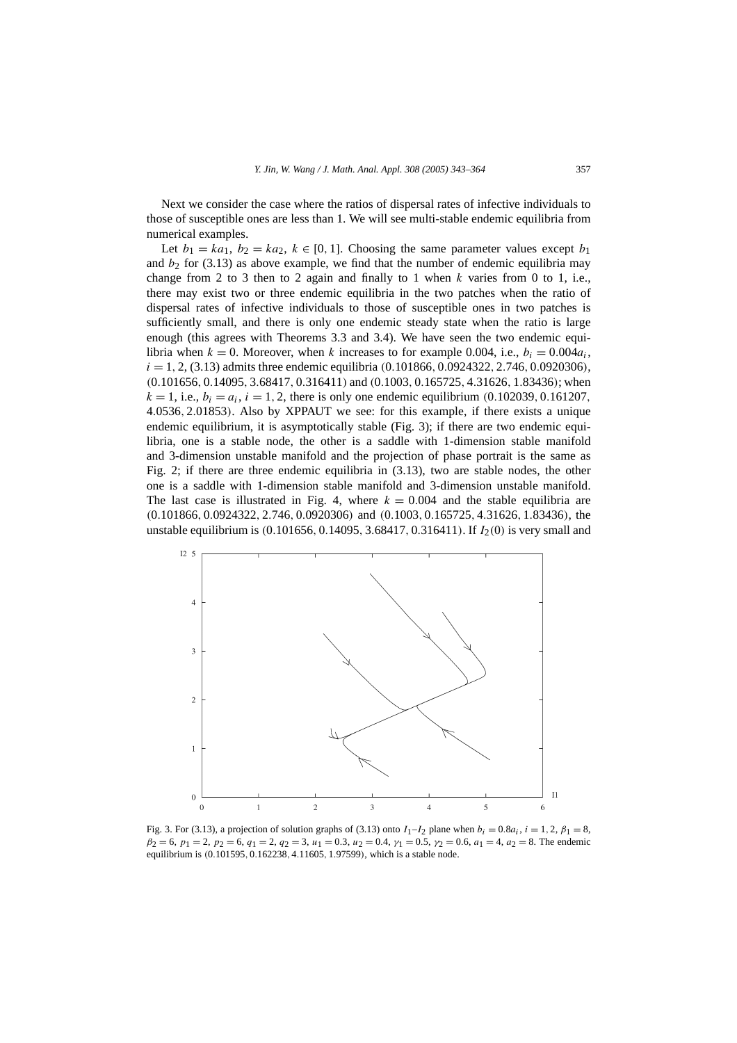Next we consider the case where the ratios of dispersal rates of infective individuals to those of susceptible ones are less than 1. We will see multi-stable endemic equilibria from numerical examples.

Let  $b_1 = ka_1$ ,  $b_2 = ka_2$ ,  $k \in [0, 1]$ . Choosing the same parameter values except  $b_1$ and  $b_2$  for (3.13) as above example, we find that the number of endemic equilibria may change from 2 to 3 then to 2 again and finally to 1 when  $k$  varies from 0 to 1, i.e., there may exist two or three endemic equilibria in the two patches when the ratio of dispersal rates of infective individuals to those of susceptible ones in two patches is sufficiently small, and there is only one endemic steady state when the ratio is large enough (this agrees with Theorems 3.3 and 3.4). We have seen the two endemic equilibria when  $k = 0$ . Moreover, when k increases to for example 0.004, i.e.,  $b_i = 0.004a_i$ , *i* = 1*,* 2, (3.13) admits three endemic equilibria *(*0*.*101866*,* 0*.*0924322*,* 2*.*746*,* 0*.*0920306*)*, *(*0*.*101656*,* 0*.*14095*,* 3*.*68417*,* 0*.*316411*)* and *(*0*.*1003*,* 0*.*165725*,* 4*.*31626*,* 1*.*83436*)*; when  $k = 1$ , i.e.,  $b_i = a_i$ ,  $i = 1, 2$ , there is only one endemic equilibrium (0.102039, 0.161207, 4*.*0536*,* 2*.*01853*)*. Also by XPPAUT we see: for this example, if there exists a unique endemic equilibrium, it is asymptotically stable (Fig. 3); if there are two endemic equilibria, one is a stable node, the other is a saddle with 1-dimension stable manifold and 3-dimension unstable manifold and the projection of phase portrait is the same as Fig. 2; if there are three endemic equilibria in (3.13), two are stable nodes, the other one is a saddle with 1-dimension stable manifold and 3-dimension unstable manifold. The last case is illustrated in Fig. 4, where  $k = 0.004$  and the stable equilibria are *(*0*.*101866*,* 0*.*0924322*,* 2*.*746*,* 0*.*0920306*)* and *(*0*.*1003*,* 0*.*165725*,* 4*.*31626*,* 1*.*83436*)*, the unstable equilibrium is *(*0*.*101656*,* 0*.*14095*,* 3*.*68417*,* 0*.*316411*)*. If *I*2*(*0*)* is very small and



Fig. 3. For (3.13), a projection of solution graphs of (3.13) onto  $I_1-I_2$  plane when  $b_i = 0.8a_i$ ,  $i = 1, 2, \beta_1 = 8$ ,  $β_2 = 6, p_1 = 2, p_2 = 6, q_1 = 2, q_2 = 3, u_1 = 0.3, u_2 = 0.4, \gamma_1 = 0.5, \gamma_2 = 0.6, a_1 = 4, a_2 = 8$ . The endemic equilibrium is *(*0*.*101595*,* 0*.*162238*,* 4*.*11605*,* 1*.*97599*)*, which is a stable node.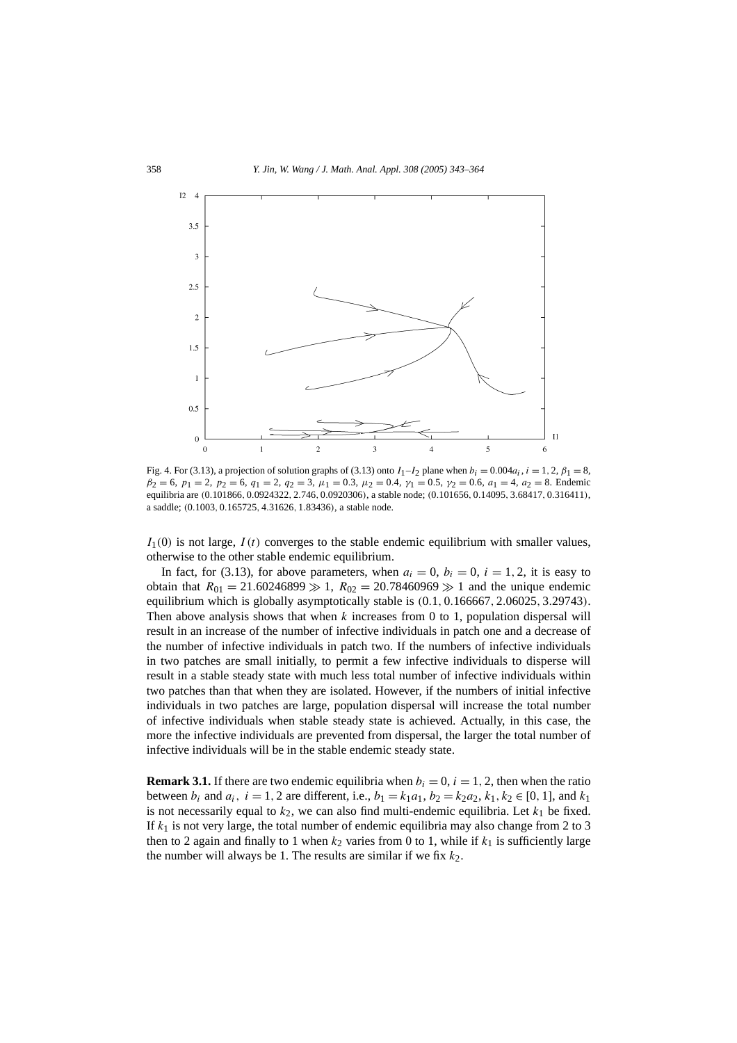

Fig. 4. For (3.13), a projection of solution graphs of (3.13) onto  $I_1-I_2$  plane when  $b_i = 0.004a_i$ ,  $i = 1, 2, \beta_1 = 8$ ,  $β_2 = 6, p_1 = 2, p_2 = 6, q_1 = 2, q_2 = 3, \mu_1 = 0.3, \mu_2 = 0.4, \gamma_1 = 0.5, \gamma_2 = 0.6, a_1 = 4, a_2 = 8$ . Endemic equilibria are (0.101866, 0.0924322, 2.746, 0.0920306), a stable node; (0.101656, 0.14095, 3.68417, 0.316411), a saddle; *(*0*.*1003*,* 0*.*165725*,* 4*.*31626*,* 1*.*83436*)*, a stable node.

 $I_1(0)$  is not large,  $I(t)$  converges to the stable endemic equilibrium with smaller values, otherwise to the other stable endemic equilibrium.

In fact, for (3.13), for above parameters, when  $a_i = 0$ ,  $b_i = 0$ ,  $i = 1, 2$ , it is easy to obtain that  $R_{01} = 21.60246899 \gg 1$ ,  $R_{02} = 20.78460969 \gg 1$  and the unique endemic equilibrium which is globally asymptotically stable is *(*0*.*1*,* 0*.*166667*,* 2*.*06025*,* 3*.*29743*)*. Then above analysis shows that when *k* increases from 0 to 1, population dispersal will result in an increase of the number of infective individuals in patch one and a decrease of the number of infective individuals in patch two. If the numbers of infective individuals in two patches are small initially, to permit a few infective individuals to disperse will result in a stable steady state with much less total number of infective individuals within two patches than that when they are isolated. However, if the numbers of initial infective individuals in two patches are large, population dispersal will increase the total number of infective individuals when stable steady state is achieved. Actually, in this case, the more the infective individuals are prevented from dispersal, the larger the total number of infective individuals will be in the stable endemic steady state.

**Remark 3.1.** If there are two endemic equilibria when  $b_i = 0$ ,  $i = 1, 2$ , then when the ratio **between**  $b_i$  and  $a_i$ ,  $i = 1, 2$  are different, i.e.,  $b_1 = k_1a_1$ ,  $b_2 = k_2a_2$ ,  $k_1, k_2 \in [0, 1]$ , and  $k_1$ is not necessarily equal to  $k_2$ , we can also find multi-endemic equilibria. Let  $k_1$  be fixed. If  $k_1$  is not very large, the total number of endemic equilibria may also change from 2 to 3 then to 2 again and finally to 1 when  $k_2$  varies from 0 to 1, while if  $k_1$  is sufficiently large the number will always be 1. The results are similar if we fix  $k_2$ .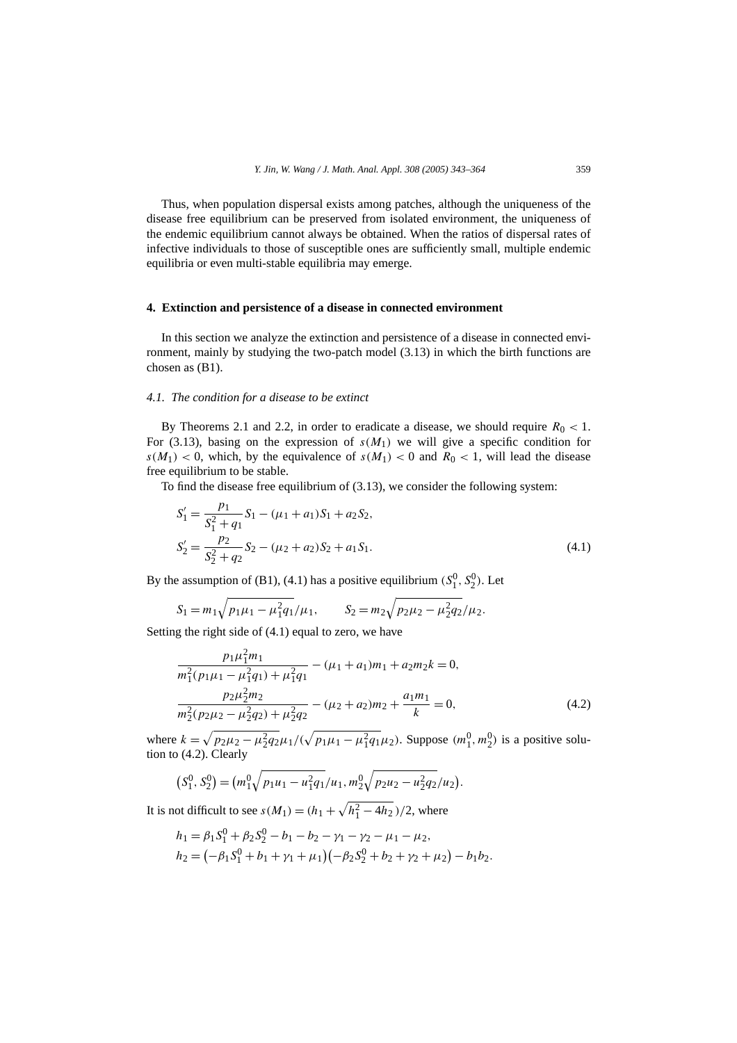Thus, when population dispersal exists among patches, although the uniqueness of the disease free equilibrium can be preserved from isolated environment, the uniqueness of the endemic equilibrium cannot always be obtained. When the ratios of dispersal rates of infective individuals to those of susceptible ones are sufficiently small, multiple endemic equilibria or even multi-stable equilibria may emerge.

# **4. Extinction and persistence of a disease in connected environment**

In this section we analyze the extinction and persistence of a disease in connected environment, mainly by studying the two-patch model (3.13) in which the birth functions are chosen as (B1).

# *4.1. The condition for a disease to be extinct*

By Theorems 2.1 and 2.2, in order to eradicate a disease, we should require  $R_0 < 1$ . For (3.13), basing on the expression of  $s(M_1)$  we will give a specific condition for  $s(M_1)$  < 0, which, by the equivalence of  $s(M_1)$  < 0 and  $R_0$  < 1, will lead the disease free equilibrium to be stable.

To find the disease free equilibrium of (3.13), we consider the following system:

$$
S'_{1} = \frac{p_{1}}{S_{1}^{2} + q_{1}} S_{1} - (\mu_{1} + a_{1}) S_{1} + a_{2} S_{2},
$$
  
\n
$$
S'_{2} = \frac{p_{2}}{S_{2}^{2} + q_{2}} S_{2} - (\mu_{2} + a_{2}) S_{2} + a_{1} S_{1}.
$$
\n(4.1)

By the assumption of (B1), (4.1) has a positive equilibrium  $(S_1^0, S_2^0)$ . Let

$$
S_1 = m_1 \sqrt{p_1 \mu_1 - \mu_1^2 q_1} / \mu_1
$$
,  $S_2 = m_2 \sqrt{p_2 \mu_2 - \mu_2^2 q_2} / \mu_2$ .

Setting the right side of (4.1) equal to zero, we have

$$
\frac{p_1\mu_1^2m_1}{m_1^2(p_1\mu_1 - \mu_1^2q_1) + \mu_1^2q_1} - (\mu_1 + a_1)m_1 + a_2m_2k = 0,
$$
\n
$$
\frac{p_2\mu_2^2m_2}{m_2^2(p_2\mu_2 - \mu_2^2q_2) + \mu_2^2q_2} - (\mu_2 + a_2)m_2 + \frac{a_1m_1}{k} = 0,
$$
\n(4.2)

where  $k = \sqrt{p_2 \mu_2 - \mu_2^2 q_2 \mu_1}/(\sqrt{p_1 \mu_1 - \mu_1^2 q_1 \mu_2})$ . Suppose  $(m_1^0, m_2^0)$  is a positive solution to (4.2). Clearly

$$
(S_1^0, S_2^0) = (m_1^0 \sqrt{p_1 u_1 - u_1^2 q_1}/u_1, m_2^0 \sqrt{p_2 u_2 - u_2^2 q_2}/u_2).
$$

It is not difficult to see  $s(M_1) = (h_1 + \sqrt{h_1^2 - 4h_2})/2$ , where

$$
h_1 = \beta_1 S_1^0 + \beta_2 S_2^0 - b_1 - b_2 - \gamma_1 - \gamma_2 - \mu_1 - \mu_2,
$$
  
\n
$$
h_2 = (-\beta_1 S_1^0 + b_1 + \gamma_1 + \mu_1)(-\beta_2 S_2^0 + b_2 + \gamma_2 + \mu_2) - b_1 b_2.
$$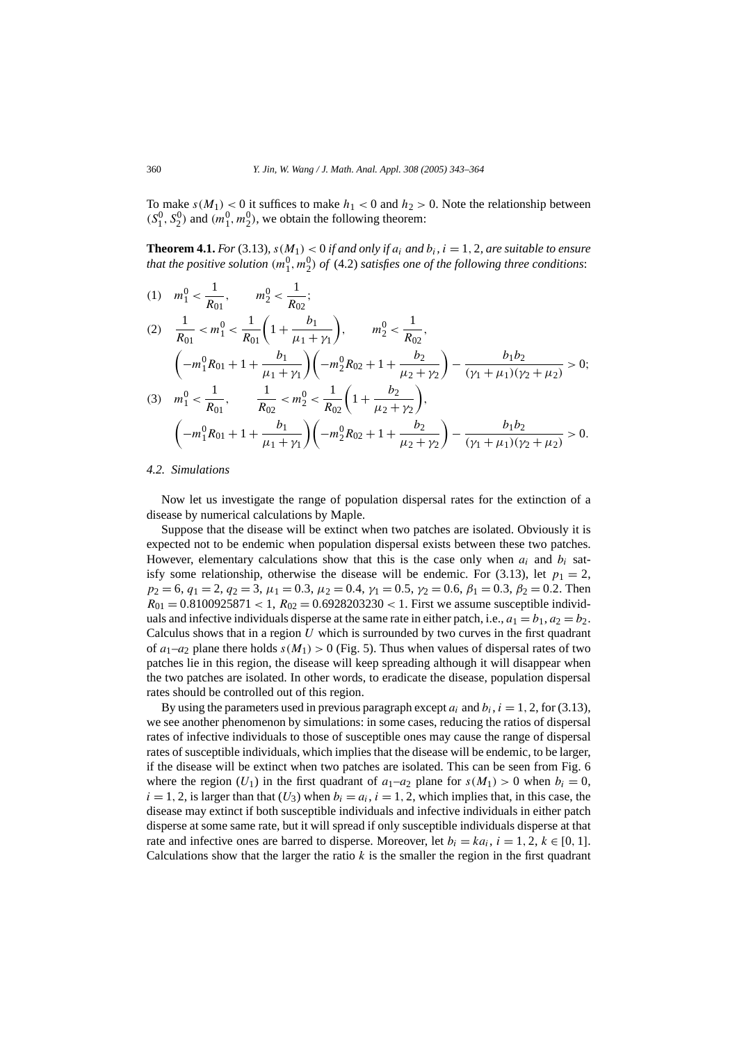To make  $s(M_1) < 0$  it suffices to make  $h_1 < 0$  and  $h_2 > 0$ . Note the relationship between  $(S_1^0, S_2^0)$  and  $(m_1^0, m_2^0)$ , we obtain the following theorem:

**Theorem 4.1.** *For* (3.13),  $s(M_1) < 0$  *if and only if a<sub>i</sub> and b<sub>i</sub>,*  $i = 1, 2$ *, are suitable to ensure that the positive solution*  $(m_1^0, m_2^0)$  *of* (4.2) *satisfies one of the following three conditions*:

(1) 
$$
m_1^0 < \frac{1}{R_{01}}, \qquad m_2^0 < \frac{1}{R_{02}};
$$
  
\n(2)  $\frac{1}{R_{01}} < m_1^0 < \frac{1}{R_{01}} \left( 1 + \frac{b_1}{\mu_1 + \gamma_1} \right), \qquad m_2^0 < \frac{1}{R_{02}},$   
\n $\left( -m_1^0 R_{01} + 1 + \frac{b_1}{\mu_1 + \gamma_1} \right) \left( -m_2^0 R_{02} + 1 + \frac{b_2}{\mu_2 + \gamma_2} \right) - \frac{b_1 b_2}{(\gamma_1 + \mu_1)(\gamma_2 + \mu_2)} > 0;$   
\n(3)  $m_1^0 < \frac{1}{R_{01}}, \qquad \frac{1}{R_{02}} < m_2^0 < \frac{1}{R_{02}} \left( 1 + \frac{b_2}{\mu_2 + \gamma_2} \right),$   
\n $\left( -m_1^0 R_{01} + 1 + \frac{b_1}{\mu_1 + \gamma_1} \right) \left( -m_2^0 R_{02} + 1 + \frac{b_2}{\mu_2 + \gamma_2} \right) - \frac{b_1 b_2}{(\gamma_1 + \mu_1)(\gamma_2 + \mu_2)} > 0.$ 

## *4.2. Simulations*

Now let us investigate the range of population dispersal rates for the extinction of a disease by numerical calculations by Maple.

Suppose that the disease will be extinct when two patches are isolated. Obviously it is expected not to be endemic when population dispersal exists between these two patches. However, elementary calculations show that this is the case only when  $a_i$  and  $b_i$  satisfy some relationship, otherwise the disease will be endemic. For (3.13), let  $p_1 = 2$ ,  $p_2 = 6$ ,  $q_1 = 2$ ,  $q_2 = 3$ ,  $\mu_1 = 0.3$ ,  $\mu_2 = 0.4$ ,  $\gamma_1 = 0.5$ ,  $\gamma_2 = 0.6$ ,  $\beta_1 = 0.3$ ,  $\beta_2 = 0.2$ . Then  $R_{01} = 0.8100925871 < 1, R_{02} = 0.6928203230 < 1$ . First we assume susceptible individuals and infective individuals disperse at the same rate in either patch, i.e.,  $a_1 = b_1$ ,  $a_2 = b_2$ . Calculus shows that in a region *U* which is surrounded by two curves in the first quadrant of  $a_1-a_2$  plane there holds  $s(M_1) > 0$  (Fig. 5). Thus when values of dispersal rates of two patches lie in this region, the disease will keep spreading although it will disappear when the two patches are isolated. In other words, to eradicate the disease, population dispersal rates should be controlled out of this region.

By using the parameters used in previous paragraph except  $a_i$  and  $b_i$ ,  $i = 1, 2$ , for (3.13), we see another phenomenon by simulations: in some cases, reducing the ratios of dispersal rates of infective individuals to those of susceptible ones may cause the range of dispersal rates of susceptible individuals, which implies that the disease will be endemic, to be larger, if the disease will be extinct when two patches are isolated. This can be seen from Fig. 6 where the region  $(U_1)$  in the first quadrant of  $a_1-a_2$  plane for  $s(M_1) > 0$  when  $b_i = 0$ ,  $i = 1, 2$ , is larger than that  $(U_3)$  when  $b_i = a_i$ ,  $i = 1, 2$ , which implies that, in this case, the disease may extinct if both susceptible individuals and infective individuals in either patch disperse at some same rate, but it will spread if only susceptible individuals disperse at that rate and infective ones are barred to disperse. Moreover, let  $b_i = ka_i$ ,  $i = 1, 2, k \in [0, 1]$ . Calculations show that the larger the ratio  $k$  is the smaller the region in the first quadrant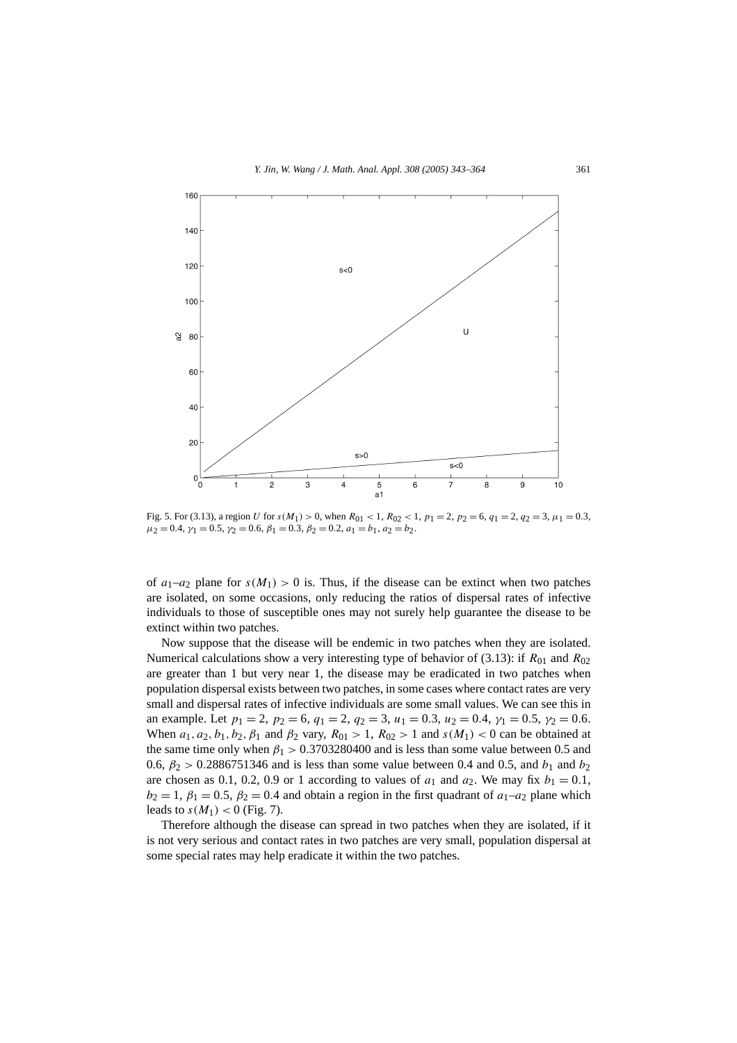

Fig. 5. For (3.13), a region *U* for  $s(M_1) > 0$ , when  $R_{01} < 1$ ,  $R_{02} < 1$ ,  $p_1 = 2$ ,  $p_2 = 6$ ,  $q_1 = 2$ ,  $q_2 = 3$ ,  $\mu_1 = 0.3$ ,  $\mu_2 = 0.4$ ,  $\gamma_1 = 0.5$ ,  $\gamma_2 = 0.6$ ,  $\beta_1 = 0.3$ ,  $\beta_2 = 0.2$ ,  $a_1 = b_1$ ,  $a_2 = b_2$ .

of  $a_1-a_2$  plane for  $s(M_1) > 0$  is. Thus, if the disease can be extinct when two patches are isolated, on some occasions, only reducing the ratios of dispersal rates of infective individuals to those of susceptible ones may not surely help guarantee the disease to be extinct within two patches.

Now suppose that the disease will be endemic in two patches when they are isolated. Numerical calculations show a very interesting type of behavior of (3.13): if  $R_{01}$  and  $R_{02}$ are greater than 1 but very near 1, the disease may be eradicated in two patches when population dispersal exists between two patches, in some cases where contact rates are very small and dispersal rates of infective individuals are some small values. We can see this in an example. Let  $p_1 = 2$ ,  $p_2 = 6$ ,  $q_1 = 2$ ,  $q_2 = 3$ ,  $u_1 = 0.3$ ,  $u_2 = 0.4$ ,  $y_1 = 0.5$ ,  $y_2 = 0.6$ . When  $a_1, a_2, b_1, b_2, \beta_1$  and  $\beta_2$  vary,  $R_{01} > 1$ ,  $R_{02} > 1$  and  $s(M_1) < 0$  can be obtained at the same time only when  $\beta_1 > 0.3703280400$  and is less than some value between 0.5 and 0.6,  $\beta_2$  > 0.2886751346 and is less than some value between 0.4 and 0.5, and  $b_1$  and  $b_2$ are chosen as 0.1, 0.2, 0.9 or 1 according to values of  $a_1$  and  $a_2$ . We may fix  $b_1 = 0.1$ ,  $b_2 = 1$ ,  $\beta_1 = 0.5$ ,  $\beta_2 = 0.4$  and obtain a region in the first quadrant of  $a_1-a_2$  plane which leads to  $s(M_1) < 0$  (Fig. 7).

Therefore although the disease can spread in two patches when they are isolated, if it is not very serious and contact rates in two patches are very small, population dispersal at some special rates may help eradicate it within the two patches.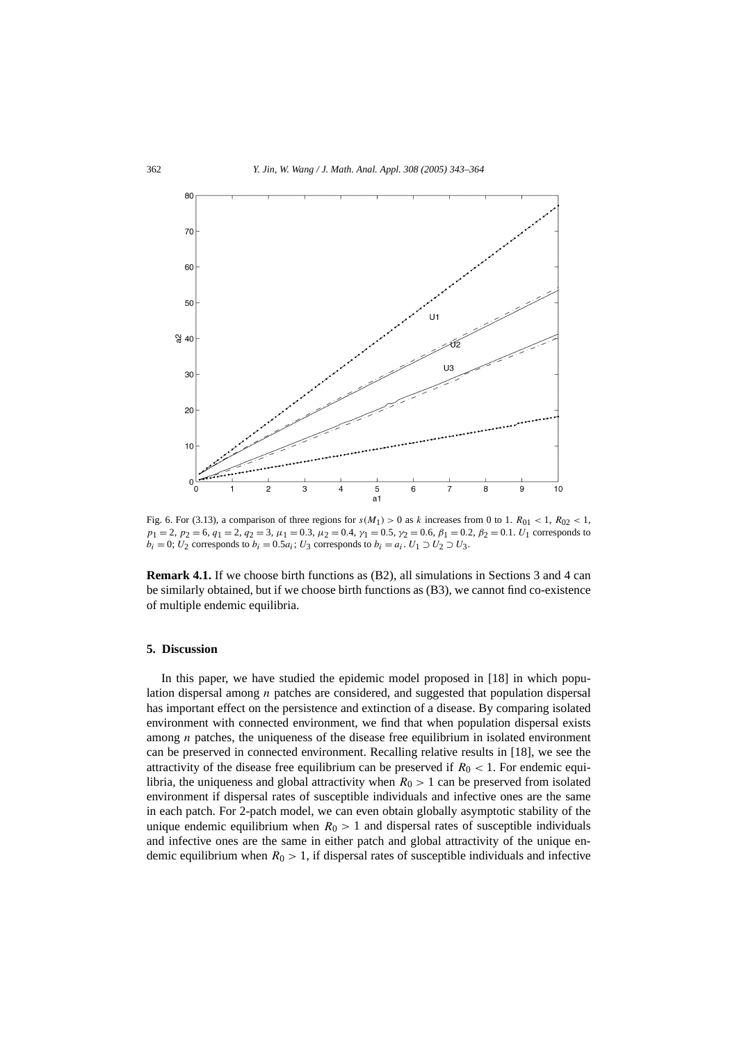

Fig. 6. For (3.13), a comparison of three regions for  $s(M_1) > 0$  as *k* increases from 0 to 1.  $R_{01} < 1$ ,  $R_{02} < 1$ ,  $p_1 = 2$ ,  $p_2 = 6$ ,  $q_1 = 2$ ,  $q_2 = 3$ ,  $\mu_1 = 0.3$ ,  $\mu_2 = 0.4$ ,  $\gamma_1 = 0.5$ ,  $\gamma_2 = 0.6$ ,  $\beta_1 = 0.2$ ,  $\beta_2 = 0.1$ .  $U_1$  corresponds to  $b_i = 0$ ;  $U_2$  corresponds to  $b_i = 0.5a_i$ ;  $U_3$  corresponds to  $b_i = a_i$ .  $U_1 \supset U_2 \supset U_3$ .

**Remark 4.1.** If we choose birth functions as (B2), all simulations in Sections 3 and 4 can be similarly obtained, but if we choose birth functions as (B3), we cannot find co-existence of multiple endemic equilibria.

# **5. Discussion**

In this paper, we have studied the epidemic model proposed in [18] in which population dispersal among *n* patches are considered, and suggested that population dispersal has important effect on the persistence and extinction of a disease. By comparing isolated environment with connected environment, we find that when population dispersal exists among *n* patches, the uniqueness of the disease free equilibrium in isolated environment can be preserved in connected environment. Recalling relative results in [18], we see the attractivity of the disease free equilibrium can be preserved if  $R_0 < 1$ . For endemic equilibria, the uniqueness and global attractivity when  $R_0 > 1$  can be preserved from isolated environment if dispersal rates of susceptible individuals and infective ones are the same in each patch. For 2-patch model, we can even obtain globally asymptotic stability of the unique endemic equilibrium when  $R_0 > 1$  and dispersal rates of susceptible individuals and infective ones are the same in either patch and global attractivity of the unique endemic equilibrium when  $R_0 > 1$ , if dispersal rates of susceptible individuals and infective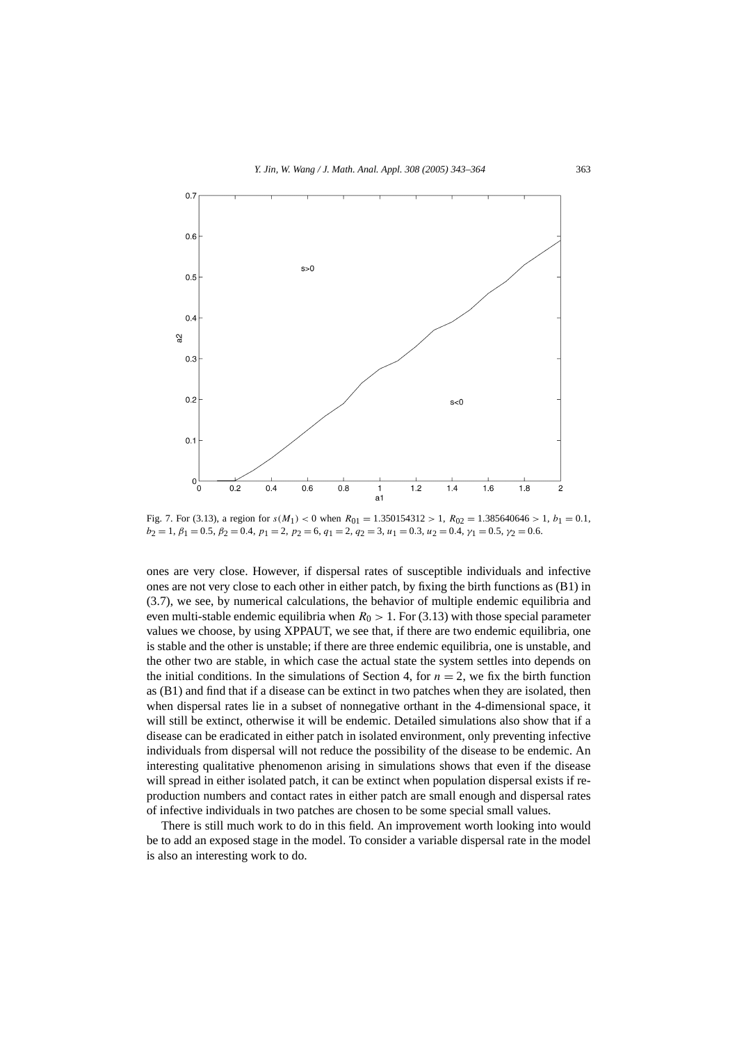

Fig. 7. For (3.13), a region for  $s(M_1) < 0$  when  $R_{01} = 1.350154312 > 1$ ,  $R_{02} = 1.385640646 > 1$ ,  $b_1 = 0.1$ ,  $b_2 = 1, \beta_1 = 0.5, \beta_2 = 0.4, \ p_1 = 2, \ p_2 = 6, \ q_1 = 2, \ q_2 = 3, \ u_1 = 0.3, \ u_2 = 0.4, \gamma_1 = 0.5, \gamma_2 = 0.6.$ 

ones are very close. However, if dispersal rates of susceptible individuals and infective ones are not very close to each other in either patch, by fixing the birth functions as (B1) in (3.7), we see, by numerical calculations, the behavior of multiple endemic equilibria and even multi-stable endemic equilibria when  $R_0 > 1$ . For (3.13) with those special parameter values we choose, by using XPPAUT, we see that, if there are two endemic equilibria, one is stable and the other is unstable; if there are three endemic equilibria, one is unstable, and the other two are stable, in which case the actual state the system settles into depends on the initial conditions. In the simulations of Section 4, for  $n = 2$ , we fix the birth function as (B1) and find that if a disease can be extinct in two patches when they are isolated, then when dispersal rates lie in a subset of nonnegative orthant in the 4-dimensional space, it will still be extinct, otherwise it will be endemic. Detailed simulations also show that if a disease can be eradicated in either patch in isolated environment, only preventing infective individuals from dispersal will not reduce the possibility of the disease to be endemic. An interesting qualitative phenomenon arising in simulations shows that even if the disease will spread in either isolated patch, it can be extinct when population dispersal exists if reproduction numbers and contact rates in either patch are small enough and dispersal rates of infective individuals in two patches are chosen to be some special small values.

There is still much work to do in this field. An improvement worth looking into would be to add an exposed stage in the model. To consider a variable dispersal rate in the model is also an interesting work to do.